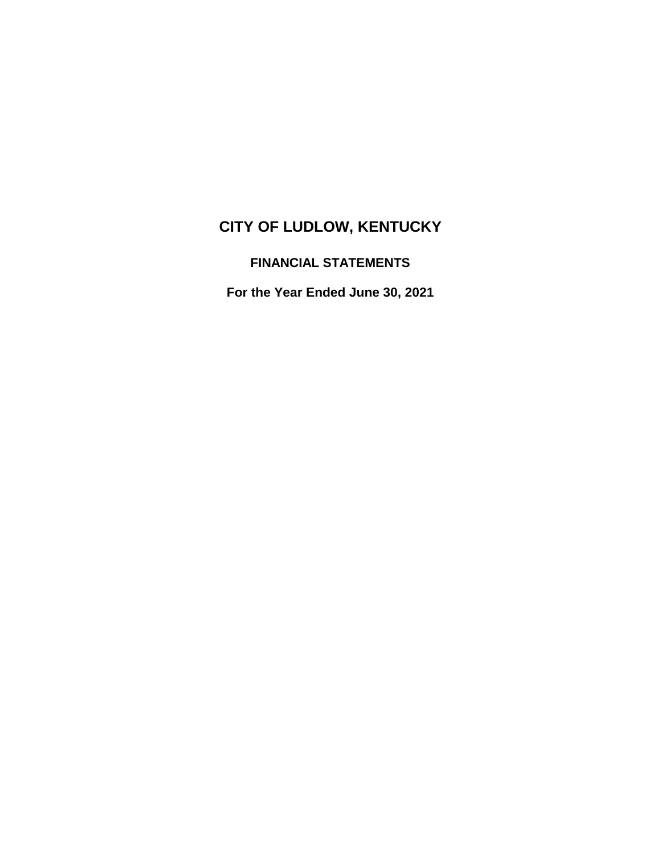# **CITY OF LUDLOW, KENTUCKY**

# **FINANCIAL STATEMENTS**

**For the Year Ended June 30, 2021**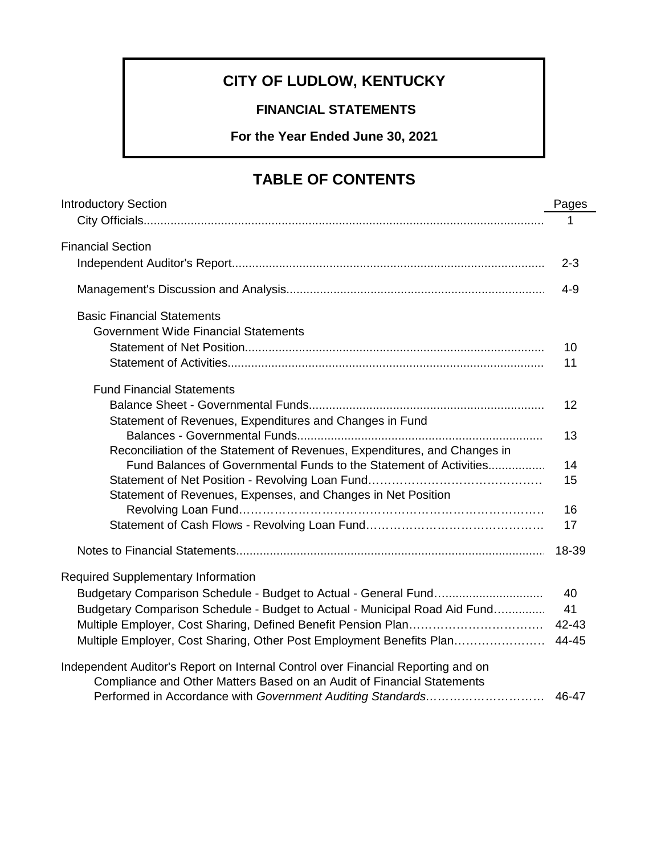# **CITY OF LUDLOW, KENTUCKY**

# **FINANCIAL STATEMENTS**

**For the Year Ended June 30, 2021**

# **TABLE OF CONTENTS**

| <b>Introductory Section</b>                                                      | Pages   |
|----------------------------------------------------------------------------------|---------|
|                                                                                  |         |
| <b>Financial Section</b>                                                         |         |
|                                                                                  | $2 - 3$ |
|                                                                                  | $4-9$   |
| <b>Basic Financial Statements</b>                                                |         |
| <b>Government Wide Financial Statements</b>                                      |         |
|                                                                                  | 10      |
|                                                                                  | 11      |
| <b>Fund Financial Statements</b>                                                 |         |
|                                                                                  | 12      |
| Statement of Revenues, Expenditures and Changes in Fund                          |         |
|                                                                                  | 13      |
| Reconciliation of the Statement of Revenues, Expenditures, and Changes in        |         |
| Fund Balances of Governmental Funds to the Statement of Activities               | 14      |
|                                                                                  | 15      |
| Statement of Revenues, Expenses, and Changes in Net Position                     |         |
|                                                                                  | 16      |
|                                                                                  | 17      |
|                                                                                  |         |
| Required Supplementary Information                                               |         |
|                                                                                  | 40      |
| Budgetary Comparison Schedule - Budget to Actual - Municipal Road Aid Fund       | 41      |
|                                                                                  |         |
| Multiple Employer, Cost Sharing, Other Post Employment Benefits Plan 44-45       |         |
| Independent Auditor's Report on Internal Control over Financial Reporting and on |         |
| Compliance and Other Matters Based on an Audit of Financial Statements           |         |
|                                                                                  |         |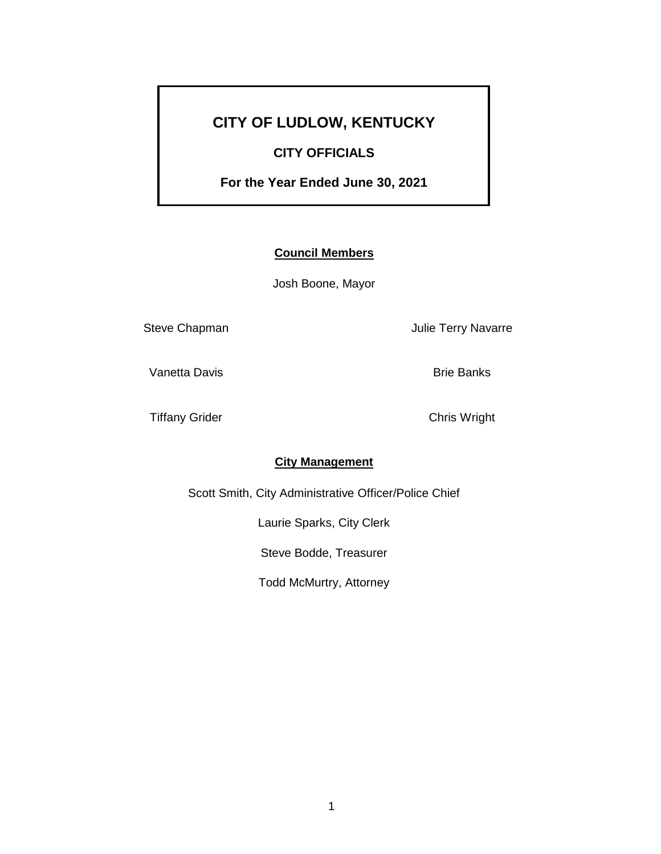# **CITY OF LUDLOW, KENTUCKY**

## **CITY OFFICIALS**

**For the Year Ended June 30, 2021**

## **Council Members**

Josh Boone, Mayor

Steve Chapman **Matter Steve Chapman** Julie Terry Navarre

Vanetta Davis **Brie Banks** Brie Banks

Tiffany Grider Chris Wright

## **City Management**

Scott Smith, City Administrative Officer/Police Chief

Laurie Sparks, City Clerk

Steve Bodde, Treasurer

Todd McMurtry, Attorney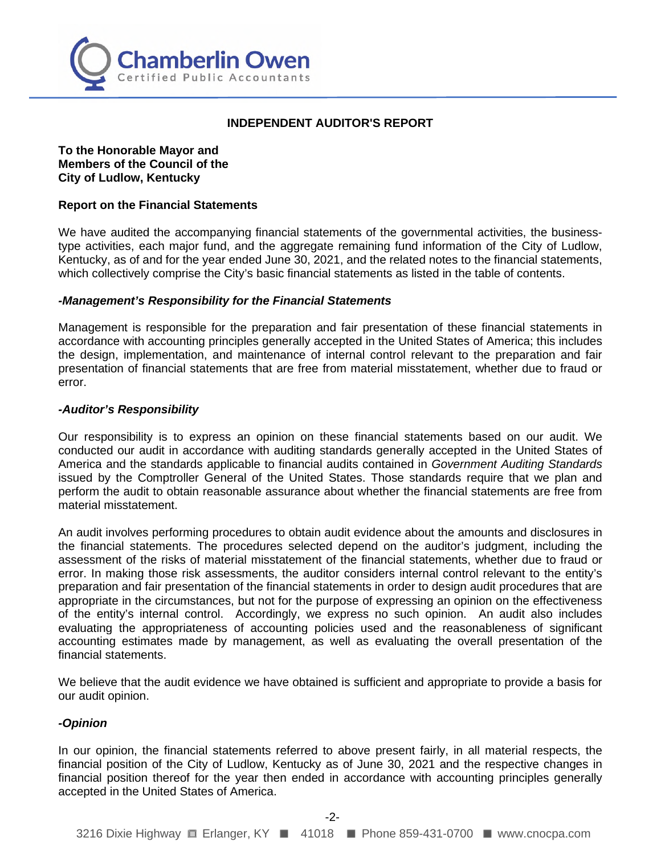

#### **INDEPENDENT AUDITOR'S REPORT**

**To the Honorable Mayor and Members of the Council of the City of Ludlow, Kentucky** 

#### **Report on the Financial Statements**

We have audited the accompanying financial statements of the governmental activities, the businesstype activities, each major fund, and the aggregate remaining fund information of the City of Ludlow, Kentucky, as of and for the year ended June 30, 2021, and the related notes to the financial statements, which collectively comprise the City's basic financial statements as listed in the table of contents.

#### *-Management's Responsibility for the Financial Statements*

Management is responsible for the preparation and fair presentation of these financial statements in accordance with accounting principles generally accepted in the United States of America; this includes the design, implementation, and maintenance of internal control relevant to the preparation and fair presentation of financial statements that are free from material misstatement, whether due to fraud or error.

#### *-Auditor's Responsibility*

Our responsibility is to express an opinion on these financial statements based on our audit. We conducted our audit in accordance with auditing standards generally accepted in the United States of America and the standards applicable to financial audits contained in *Government Auditing Standards* issued by the Comptroller General of the United States. Those standards require that we plan and perform the audit to obtain reasonable assurance about whether the financial statements are free from material misstatement.

An audit involves performing procedures to obtain audit evidence about the amounts and disclosures in the financial statements. The procedures selected depend on the auditor's judgment, including the assessment of the risks of material misstatement of the financial statements, whether due to fraud or error. In making those risk assessments, the auditor considers internal control relevant to the entity's preparation and fair presentation of the financial statements in order to design audit procedures that are appropriate in the circumstances, but not for the purpose of expressing an opinion on the effectiveness of the entity's internal control. Accordingly, we express no such opinion. An audit also includes evaluating the appropriateness of accounting policies used and the reasonableness of significant accounting estimates made by management, as well as evaluating the overall presentation of the financial statements.

We believe that the audit evidence we have obtained is sufficient and appropriate to provide a basis for our audit opinion.

#### *-Opinion*

In our opinion, the financial statements referred to above present fairly, in all material respects, the financial position of the City of Ludlow, Kentucky as of June 30, 2021 and the respective changes in financial position thereof for the year then ended in accordance with accounting principles generally accepted in the United States of America.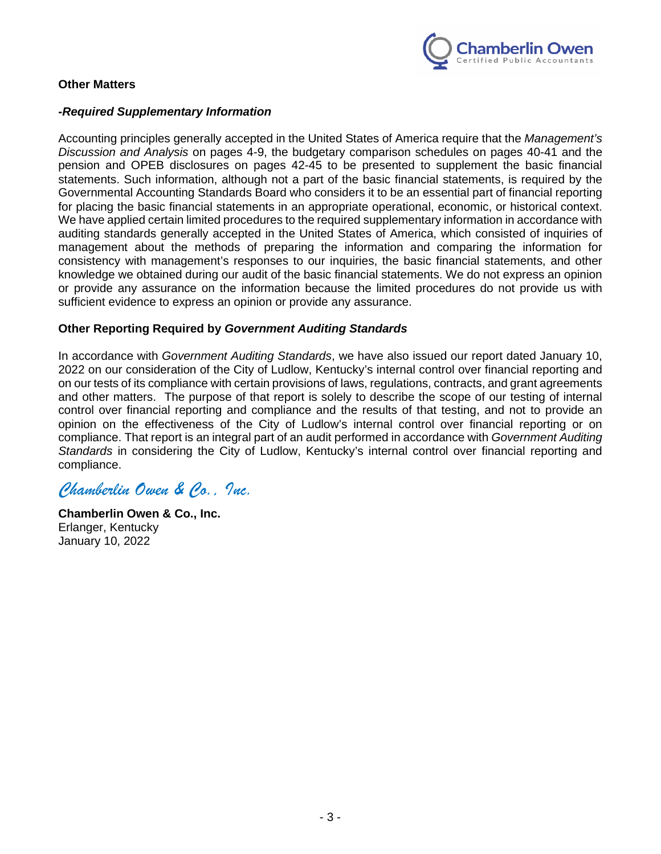

## **Other Matters**

## *-Required Supplementary Information*

Accounting principles generally accepted in the United States of America require that the *Management's Discussion and Analysis* on pages 4-9, the budgetary comparison schedules on pages 40-41 and the pension and OPEB disclosures on pages 42-45 to be presented to supplement the basic financial statements. Such information, although not a part of the basic financial statements, is required by the Governmental Accounting Standards Board who considers it to be an essential part of financial reporting for placing the basic financial statements in an appropriate operational, economic, or historical context. We have applied certain limited procedures to the required supplementary information in accordance with auditing standards generally accepted in the United States of America, which consisted of inquiries of management about the methods of preparing the information and comparing the information for consistency with management's responses to our inquiries, the basic financial statements, and other knowledge we obtained during our audit of the basic financial statements. We do not express an opinion or provide any assurance on the information because the limited procedures do not provide us with sufficient evidence to express an opinion or provide any assurance.

### **Other Reporting Required by** *Government Auditing Standards*

In accordance with *Government Auditing Standards*, we have also issued our report dated January 10, 2022 on our consideration of the City of Ludlow, Kentucky's internal control over financial reporting and on our tests of its compliance with certain provisions of laws, regulations, contracts, and grant agreements and other matters. The purpose of that report is solely to describe the scope of our testing of internal control over financial reporting and compliance and the results of that testing, and not to provide an opinion on the effectiveness of the City of Ludlow's internal control over financial reporting or on compliance. That report is an integral part of an audit performed in accordance with *Government Auditing Standards* in considering the City of Ludlow, Kentucky's internal control over financial reporting and compliance.

# *Chamberlin Owen & Co., Inc.*

**Chamberlin Owen & Co., Inc.** Erlanger, Kentucky January 10, 2022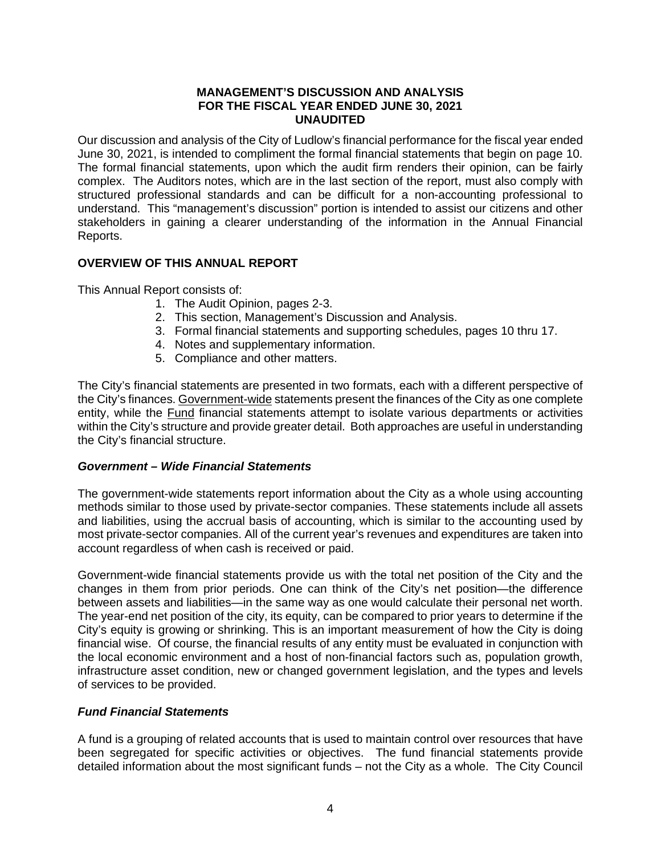#### **MANAGEMENT'S DISCUSSION AND ANALYSIS FOR THE FISCAL YEAR ENDED JUNE 30, 2021 UNAUDITED**

Our discussion and analysis of the City of Ludlow's financial performance for the fiscal year ended June 30, 2021, is intended to compliment the formal financial statements that begin on page 10. The formal financial statements, upon which the audit firm renders their opinion, can be fairly complex. The Auditors notes, which are in the last section of the report, must also comply with structured professional standards and can be difficult for a non-accounting professional to understand. This "management's discussion" portion is intended to assist our citizens and other stakeholders in gaining a clearer understanding of the information in the Annual Financial Reports.

## **OVERVIEW OF THIS ANNUAL REPORT**

This Annual Report consists of:

- 1. The Audit Opinion, pages 2-3.
- 2. This section, Management's Discussion and Analysis.
- 3. Formal financial statements and supporting schedules, pages 10 thru 17.
- 4. Notes and supplementary information.
- 5. Compliance and other matters.

The City's financial statements are presented in two formats, each with a different perspective of the City's finances. Government-wide statements present the finances of the City as one complete entity, while the Fund financial statements attempt to isolate various departments or activities within the City's structure and provide greater detail. Both approaches are useful in understanding the City's financial structure.

## *Government – Wide Financial Statements*

The government-wide statements report information about the City as a whole using accounting methods similar to those used by private-sector companies. These statements include all assets and liabilities, using the accrual basis of accounting, which is similar to the accounting used by most private-sector companies. All of the current year's revenues and expenditures are taken into account regardless of when cash is received or paid.

Government-wide financial statements provide us with the total net position of the City and the changes in them from prior periods. One can think of the City's net position—the difference between assets and liabilities—in the same way as one would calculate their personal net worth. The year-end net position of the city, its equity, can be compared to prior years to determine if the City's equity is growing or shrinking. This is an important measurement of how the City is doing financial wise. Of course, the financial results of any entity must be evaluated in conjunction with the local economic environment and a host of non-financial factors such as, population growth, infrastructure asset condition, new or changed government legislation, and the types and levels of services to be provided.

## *Fund Financial Statements*

A fund is a grouping of related accounts that is used to maintain control over resources that have been segregated for specific activities or objectives. The fund financial statements provide detailed information about the most significant funds – not the City as a whole. The City Council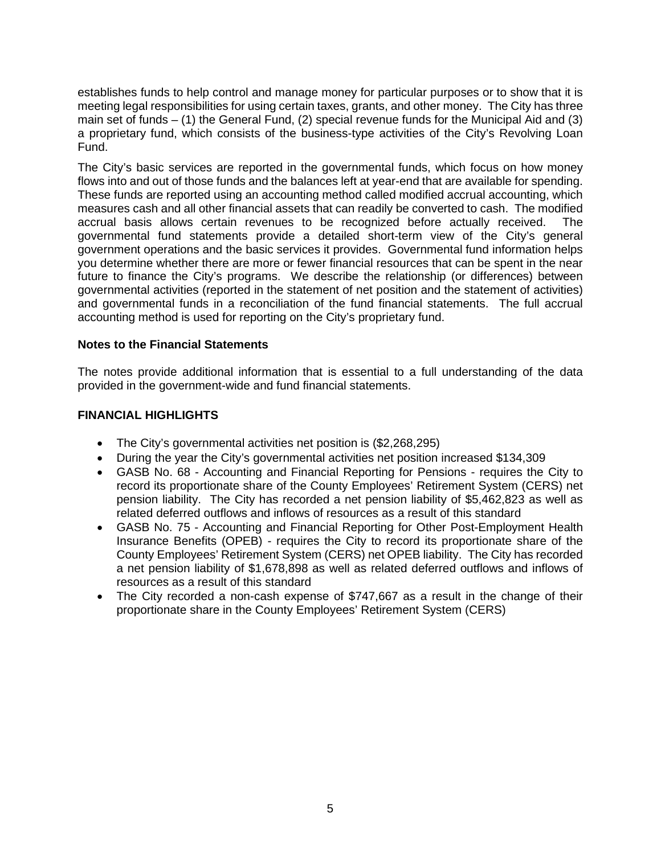establishes funds to help control and manage money for particular purposes or to show that it is meeting legal responsibilities for using certain taxes, grants, and other money. The City has three main set of funds  $-$  (1) the General Fund, (2) special revenue funds for the Municipal Aid and (3) a proprietary fund, which consists of the business-type activities of the City's Revolving Loan Fund.

The City's basic services are reported in the governmental funds, which focus on how money flows into and out of those funds and the balances left at year-end that are available for spending. These funds are reported using an accounting method called modified accrual accounting, which measures cash and all other financial assets that can readily be converted to cash. The modified accrual basis allows certain revenues to be recognized before actually received. The governmental fund statements provide a detailed short-term view of the City's general government operations and the basic services it provides. Governmental fund information helps you determine whether there are more or fewer financial resources that can be spent in the near future to finance the City's programs. We describe the relationship (or differences) between governmental activities (reported in the statement of net position and the statement of activities) and governmental funds in a reconciliation of the fund financial statements. The full accrual accounting method is used for reporting on the City's proprietary fund.

## **Notes to the Financial Statements**

The notes provide additional information that is essential to a full understanding of the data provided in the government-wide and fund financial statements.

### **FINANCIAL HIGHLIGHTS**

- The City's governmental activities net position is (\$2,268,295)
- During the year the City's governmental activities net position increased \$134,309
- GASB No. 68 Accounting and Financial Reporting for Pensions requires the City to record its proportionate share of the County Employees' Retirement System (CERS) net pension liability. The City has recorded a net pension liability of \$5,462,823 as well as related deferred outflows and inflows of resources as a result of this standard
- GASB No. 75 Accounting and Financial Reporting for Other Post-Employment Health Insurance Benefits (OPEB) - requires the City to record its proportionate share of the County Employees' Retirement System (CERS) net OPEB liability. The City has recorded a net pension liability of \$1,678,898 as well as related deferred outflows and inflows of resources as a result of this standard
- The City recorded a non-cash expense of \$747,667 as a result in the change of their proportionate share in the County Employees' Retirement System (CERS)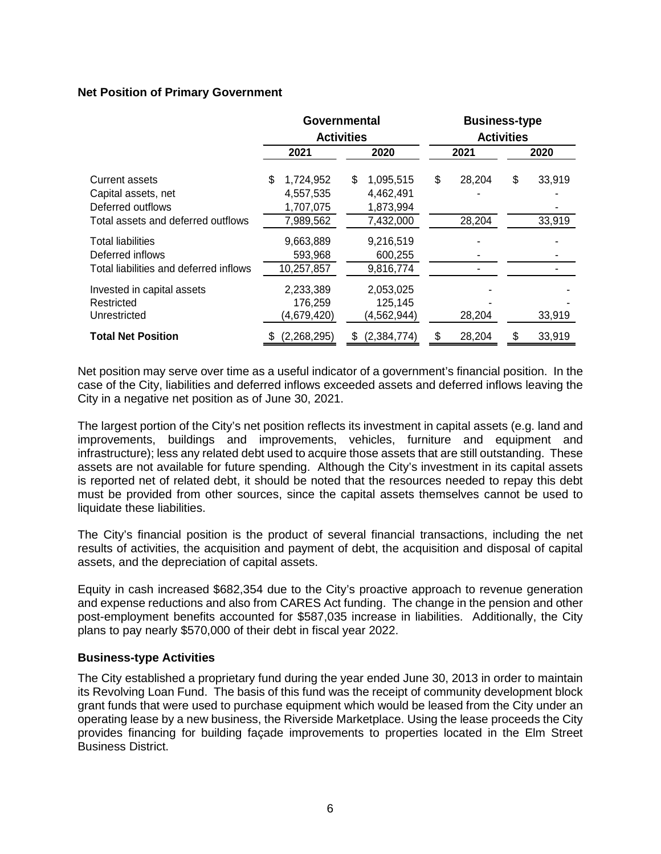## **Net Position of Primary Government**

|                                                                                                  | Governmental<br><b>Activities</b> |                                                  |      | <b>Business-type</b><br><b>Activities</b>        |      |                  |    |                  |
|--------------------------------------------------------------------------------------------------|-----------------------------------|--------------------------------------------------|------|--------------------------------------------------|------|------------------|----|------------------|
|                                                                                                  | 2021                              |                                                  | 2020 |                                                  | 2021 |                  |    | 2020             |
| Current assets<br>Capital assets, net<br>Deferred outflows<br>Total assets and deferred outflows | \$                                | 1,724,952<br>4,557,535<br>1,707,075<br>7,989,562 | \$   | 1,095,515<br>4,462,491<br>1,873,994<br>7,432,000 | \$   | 28,204<br>28,204 | \$ | 33,919<br>33,919 |
| Total liabilities<br>Deferred inflows<br>Total liabilities and deferred inflows                  |                                   | 9,663,889<br>593,968<br>10,257,857               |      | 9,216,519<br>600,255<br>9,816,774                |      |                  |    |                  |
| Invested in capital assets<br>Restricted<br>Unrestricted                                         |                                   | 2,233,389<br>176,259<br>(4,679,420)              |      | 2,053,025<br>125,145<br>(4, 562, 944)            |      | 28,204           |    | 33,919           |
| <b>Total Net Position</b>                                                                        |                                   | (2,268,295)                                      | \$   | (2, 384, 774)                                    | S    | 28,204           |    | 33,919           |

Net position may serve over time as a useful indicator of a government's financial position. In the case of the City, liabilities and deferred inflows exceeded assets and deferred inflows leaving the City in a negative net position as of June 30, 2021.

The largest portion of the City's net position reflects its investment in capital assets (e.g. land and improvements, buildings and improvements, vehicles, furniture and equipment and infrastructure); less any related debt used to acquire those assets that are still outstanding. These assets are not available for future spending. Although the City's investment in its capital assets is reported net of related debt, it should be noted that the resources needed to repay this debt must be provided from other sources, since the capital assets themselves cannot be used to liquidate these liabilities.

The City's financial position is the product of several financial transactions, including the net results of activities, the acquisition and payment of debt, the acquisition and disposal of capital assets, and the depreciation of capital assets.

Equity in cash increased \$682,354 due to the City's proactive approach to revenue generation and expense reductions and also from CARES Act funding. The change in the pension and other post-employment benefits accounted for \$587,035 increase in liabilities. Additionally, the City plans to pay nearly \$570,000 of their debt in fiscal year 2022.

#### **Business-type Activities**

The City established a proprietary fund during the year ended June 30, 2013 in order to maintain its Revolving Loan Fund. The basis of this fund was the receipt of community development block grant funds that were used to purchase equipment which would be leased from the City under an operating lease by a new business, the Riverside Marketplace. Using the lease proceeds the City provides financing for building façade improvements to properties located in the Elm Street Business District.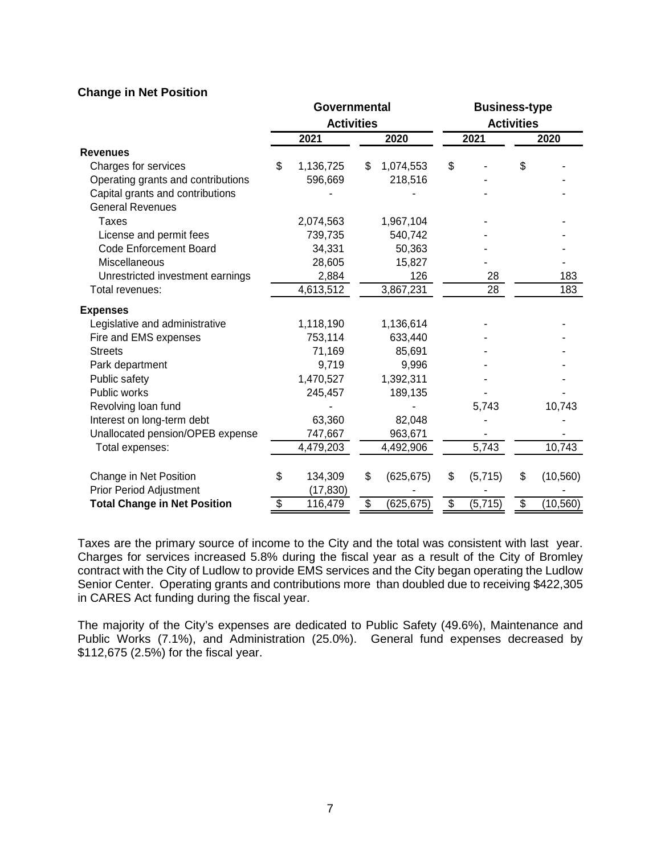## **Change in Net Position**

|                                     | Governmental<br><b>Activities</b> |                      |    |            |    | <b>Business-type</b> |    |                   |  |  |
|-------------------------------------|-----------------------------------|----------------------|----|------------|----|----------------------|----|-------------------|--|--|
|                                     |                                   |                      |    |            |    |                      |    | <b>Activities</b> |  |  |
|                                     |                                   | 2021                 |    | 2020       |    | 2021                 |    | 2020              |  |  |
| <b>Revenues</b>                     |                                   |                      |    |            |    |                      |    |                   |  |  |
| Charges for services                | \$                                | 1,136,725            | \$ | 1,074,553  | \$ |                      | \$ |                   |  |  |
| Operating grants and contributions  |                                   | 596,669              |    | 218,516    |    |                      |    |                   |  |  |
| Capital grants and contributions    |                                   |                      |    |            |    |                      |    |                   |  |  |
| <b>General Revenues</b>             |                                   |                      |    |            |    |                      |    |                   |  |  |
| Taxes                               |                                   | 2,074,563            |    | 1,967,104  |    |                      |    |                   |  |  |
| License and permit fees             |                                   | 739,735              |    | 540,742    |    |                      |    |                   |  |  |
| <b>Code Enforcement Board</b>       |                                   | 34,331               |    | 50,363     |    |                      |    |                   |  |  |
| Miscellaneous                       |                                   | 28,605               |    | 15,827     |    |                      |    |                   |  |  |
| Unrestricted investment earnings    |                                   | 2,884                |    | 126        |    | 28                   |    | 183               |  |  |
| Total revenues:                     |                                   | $\sqrt{4,613,512}$   |    | 3,867,231  |    | 28                   |    | 183               |  |  |
| <b>Expenses</b>                     |                                   |                      |    |            |    |                      |    |                   |  |  |
| Legislative and administrative      |                                   | 1,118,190            |    | 1,136,614  |    |                      |    |                   |  |  |
| Fire and EMS expenses               |                                   | 753,114              |    | 633,440    |    |                      |    |                   |  |  |
| <b>Streets</b>                      |                                   | 71,169               |    | 85,691     |    |                      |    |                   |  |  |
| Park department                     |                                   | 9,719                |    | 9,996      |    |                      |    |                   |  |  |
| Public safety                       |                                   | 1,470,527            |    | 1,392,311  |    |                      |    |                   |  |  |
| Public works                        |                                   | 245,457              |    | 189,135    |    |                      |    |                   |  |  |
| Revolving loan fund                 |                                   |                      |    |            |    | 5,743                |    | 10,743            |  |  |
| Interest on long-term debt          |                                   | 63,360               |    | 82,048     |    |                      |    |                   |  |  |
| Unallocated pension/OPEB expense    |                                   | 747,667              |    | 963,671    |    |                      |    |                   |  |  |
| Total expenses:                     |                                   | 4,479,203            |    | 4,492,906  |    | 5,743                |    | 10,743            |  |  |
| Change in Net Position              | \$                                | 134,309              | \$ | (625, 675) | \$ |                      | \$ |                   |  |  |
| Prior Period Adjustment             |                                   |                      |    |            |    | (5,715)              |    | (10, 560)         |  |  |
| <b>Total Change in Net Position</b> | \$                                | (17, 830)<br>116,479 | \$ | (625, 675) | \$ | (5, 715)             | \$ | (10, 560)         |  |  |
|                                     |                                   |                      |    |            |    |                      |    |                   |  |  |

Taxes are the primary source of income to the City and the total was consistent with last year. Charges for services increased 5.8% during the fiscal year as a result of the City of Bromley contract with the City of Ludlow to provide EMS services and the City began operating the Ludlow Senior Center. Operating grants and contributions more than doubled due to receiving \$422,305 in CARES Act funding during the fiscal year.

The majority of the City's expenses are dedicated to Public Safety (49.6%), Maintenance and Public Works (7.1%), and Administration (25.0%). General fund expenses decreased by \$112,675 (2.5%) for the fiscal year.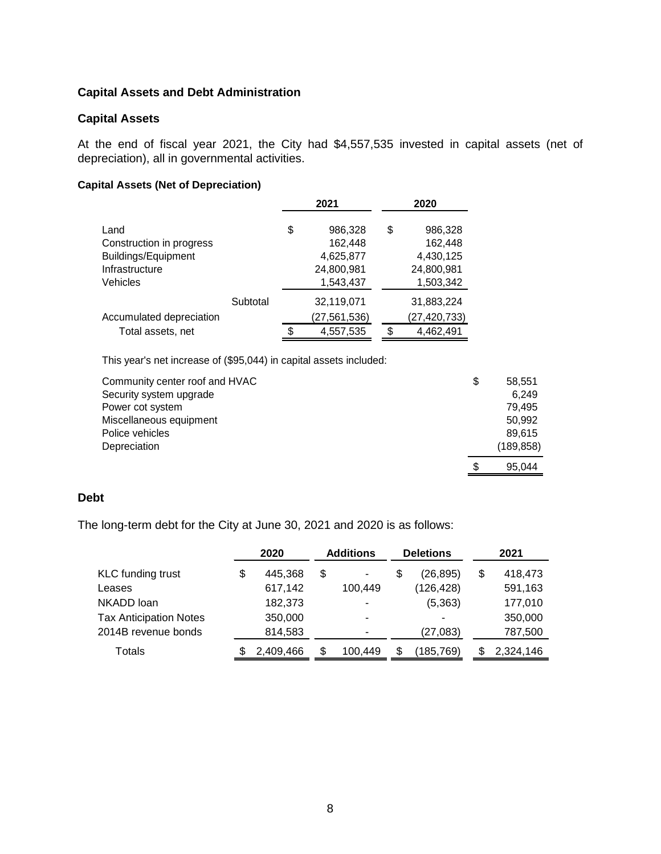## **Capital Assets and Debt Administration**

## **Capital Assets**

At the end of fiscal year 2021, the City had \$4,557,535 invested in capital assets (net of depreciation), all in governmental activities.

## **Capital Assets (Net of Depreciation)**

|                                                                                       |          |    | 2021                                                       |    | 2020                                                       |
|---------------------------------------------------------------------------------------|----------|----|------------------------------------------------------------|----|------------------------------------------------------------|
| Land<br>Construction in progress<br>Buildings/Equipment<br>Infrastructure<br>Vehicles |          | \$ | 986,328<br>162,448<br>4,625,877<br>24,800,981<br>1,543,437 | \$ | 986,328<br>162,448<br>4,430,125<br>24,800,981<br>1,503,342 |
|                                                                                       | Subtotal |    | 32,119,071                                                 |    | 31,883,224                                                 |
| Accumulated depreciation                                                              |          |    | (27,561,536)                                               |    | (27, 420, 733)                                             |
| Total assets, net                                                                     |          | S. | 4,557,535                                                  | .ፍ | 4,462,491                                                  |

This year's net increase of (\$95,044) in capital assets included:

| Community center roof and HVAC | \$ | 58.551     |
|--------------------------------|----|------------|
| Security system upgrade        |    | 6.249      |
| Power cot system               |    | 79,495     |
| Miscellaneous equipment        |    | 50,992     |
| Police vehicles                |    | 89,615     |
| Depreciation                   |    | (189, 858) |
|                                | S  | 95.044     |

#### **Debt**

The long-term debt for the City at June 30, 2021 and 2020 is as follows:

|                               | 2020 |           | <b>Additions</b>         | <b>Deletions</b> | 2021 |           |  |
|-------------------------------|------|-----------|--------------------------|------------------|------|-----------|--|
| <b>KLC</b> funding trust      | \$   | 445.368   | \$<br>٠                  | \$<br>(26, 895)  | \$   | 418,473   |  |
| Leases                        |      | 617,142   | 100,449                  | (126, 428)       |      | 591,163   |  |
| NKADD loan                    |      | 182,373   |                          | (5, 363)         |      | 177,010   |  |
| <b>Tax Anticipation Notes</b> |      | 350,000   | $\overline{\phantom{0}}$ | -                |      | 350,000   |  |
| 2014B revenue bonds           |      | 814,583   |                          | (27, 083)        |      | 787,500   |  |
| Totals                        |      | 2,409,466 | 100,449                  | \$<br>(185,769)  |      | 2,324,146 |  |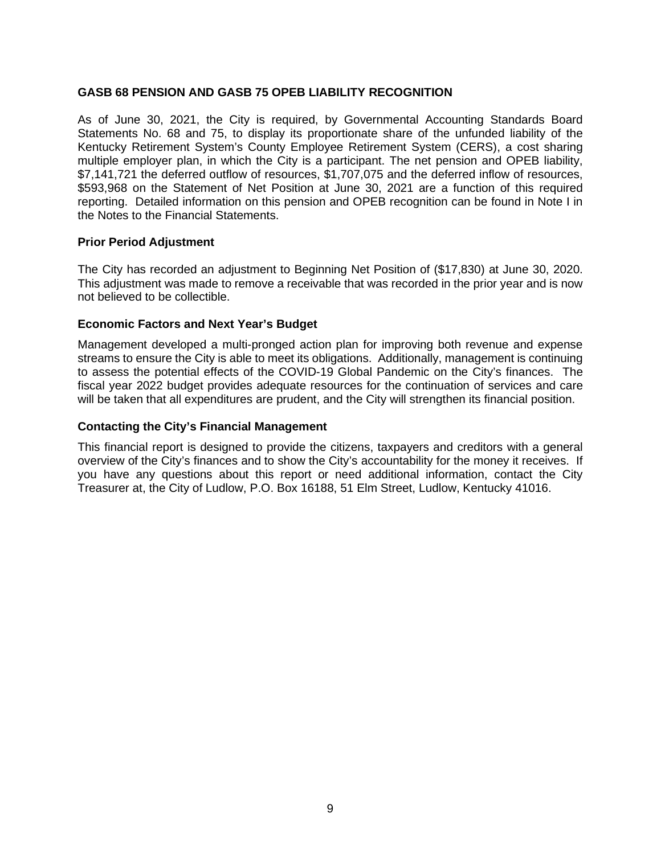## **GASB 68 PENSION AND GASB 75 OPEB LIABILITY RECOGNITION**

As of June 30, 2021, the City is required, by Governmental Accounting Standards Board Statements No. 68 and 75, to display its proportionate share of the unfunded liability of the Kentucky Retirement System's County Employee Retirement System (CERS), a cost sharing multiple employer plan, in which the City is a participant. The net pension and OPEB liability, \$7,141,721 the deferred outflow of resources, \$1,707,075 and the deferred inflow of resources, \$593,968 on the Statement of Net Position at June 30, 2021 are a function of this required reporting. Detailed information on this pension and OPEB recognition can be found in Note I in the Notes to the Financial Statements.

#### **Prior Period Adjustment**

The City has recorded an adjustment to Beginning Net Position of (\$17,830) at June 30, 2020. This adjustment was made to remove a receivable that was recorded in the prior year and is now not believed to be collectible.

#### **Economic Factors and Next Year's Budget**

Management developed a multi-pronged action plan for improving both revenue and expense streams to ensure the City is able to meet its obligations. Additionally, management is continuing to assess the potential effects of the COVID-19 Global Pandemic on the City's finances. The fiscal year 2022 budget provides adequate resources for the continuation of services and care will be taken that all expenditures are prudent, and the City will strengthen its financial position.

#### **Contacting the City's Financial Management**

This financial report is designed to provide the citizens, taxpayers and creditors with a general overview of the City's finances and to show the City's accountability for the money it receives. If you have any questions about this report or need additional information, contact the City Treasurer at, the City of Ludlow, P.O. Box 16188, 51 Elm Street, Ludlow, Kentucky 41016.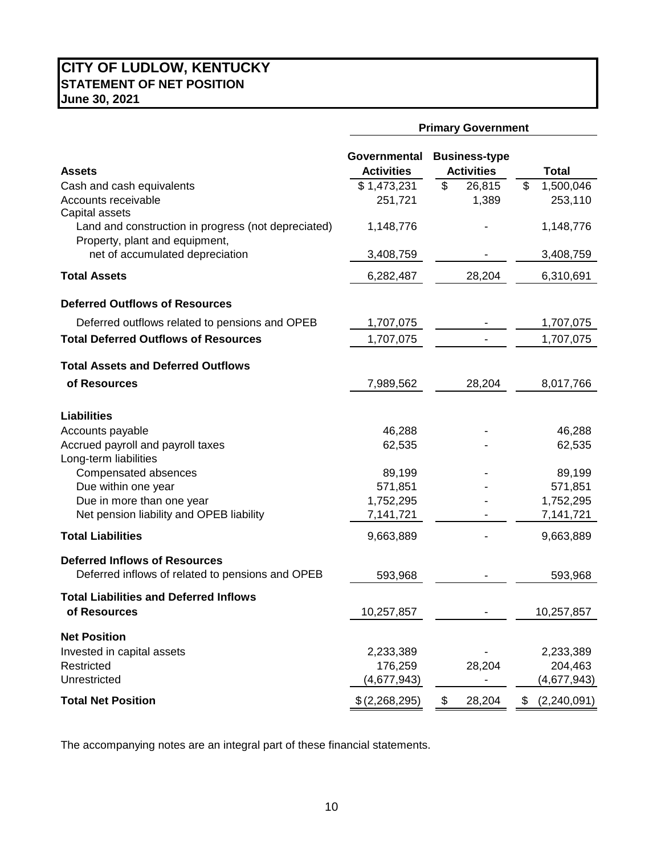## **CITY OF LUDLOW, KENTUCKY STATEMENT OF NET POSITION June 30, 2021**

|                                                                                                         | <b>Primary Government</b>                       |              |                              |  |  |  |
|---------------------------------------------------------------------------------------------------------|-------------------------------------------------|--------------|------------------------------|--|--|--|
| <b>Assets</b>                                                                                           | Governmental Business-type<br><b>Activities</b> | <b>Total</b> |                              |  |  |  |
| Cash and cash equivalents                                                                               | \$1,473,231                                     | \$<br>26,815 | \$<br>1,500,046              |  |  |  |
| Accounts receivable                                                                                     | 251,721                                         | 1,389        | 253,110                      |  |  |  |
| Capital assets<br>Land and construction in progress (not depreciated)<br>Property, plant and equipment, | 1,148,776                                       |              | 1,148,776                    |  |  |  |
| net of accumulated depreciation                                                                         | 3,408,759                                       |              | 3,408,759                    |  |  |  |
| <b>Total Assets</b>                                                                                     | 6,282,487                                       | 28,204       | 6,310,691                    |  |  |  |
| <b>Deferred Outflows of Resources</b>                                                                   |                                                 |              |                              |  |  |  |
| Deferred outflows related to pensions and OPEB                                                          | 1,707,075                                       |              | 1,707,075                    |  |  |  |
| <b>Total Deferred Outflows of Resources</b>                                                             | 1,707,075                                       |              | 1,707,075                    |  |  |  |
| <b>Total Assets and Deferred Outflows</b>                                                               |                                                 |              |                              |  |  |  |
| of Resources                                                                                            | 7,989,562                                       | 28,204       | 8,017,766                    |  |  |  |
| <b>Liabilities</b>                                                                                      |                                                 |              |                              |  |  |  |
| Accounts payable                                                                                        | 46,288                                          |              | 46,288                       |  |  |  |
| Accrued payroll and payroll taxes<br>Long-term liabilities                                              | 62,535                                          |              | 62,535                       |  |  |  |
| Compensated absences                                                                                    | 89,199                                          |              | 89,199                       |  |  |  |
| Due within one year                                                                                     | 571,851                                         |              | 571,851                      |  |  |  |
| Due in more than one year                                                                               | 1,752,295                                       |              | 1,752,295                    |  |  |  |
| Net pension liability and OPEB liability                                                                | 7,141,721                                       |              | 7,141,721                    |  |  |  |
| <b>Total Liabilities</b>                                                                                | 9,663,889                                       |              | 9,663,889                    |  |  |  |
| <b>Deferred Inflows of Resources</b>                                                                    |                                                 |              |                              |  |  |  |
| Deferred inflows of related to pensions and OPEB                                                        | 593,968                                         |              | 593,968                      |  |  |  |
| <b>Total Liabilities and Deferred Inflows</b><br>of Resources                                           | 10,257,857                                      |              | 10,257,857                   |  |  |  |
| <b>Net Position</b>                                                                                     |                                                 |              |                              |  |  |  |
| Invested in capital assets                                                                              | 2,233,389                                       |              | 2,233,389                    |  |  |  |
| Restricted                                                                                              | 176,259                                         | 28,204       | 204,463                      |  |  |  |
| Unrestricted                                                                                            | (4,677,943)                                     |              | (4,677,943)                  |  |  |  |
| <b>Total Net Position</b>                                                                               | \$(2,268,295)                                   | \$<br>28,204 | $\frac{1}{2}$<br>(2,240,091) |  |  |  |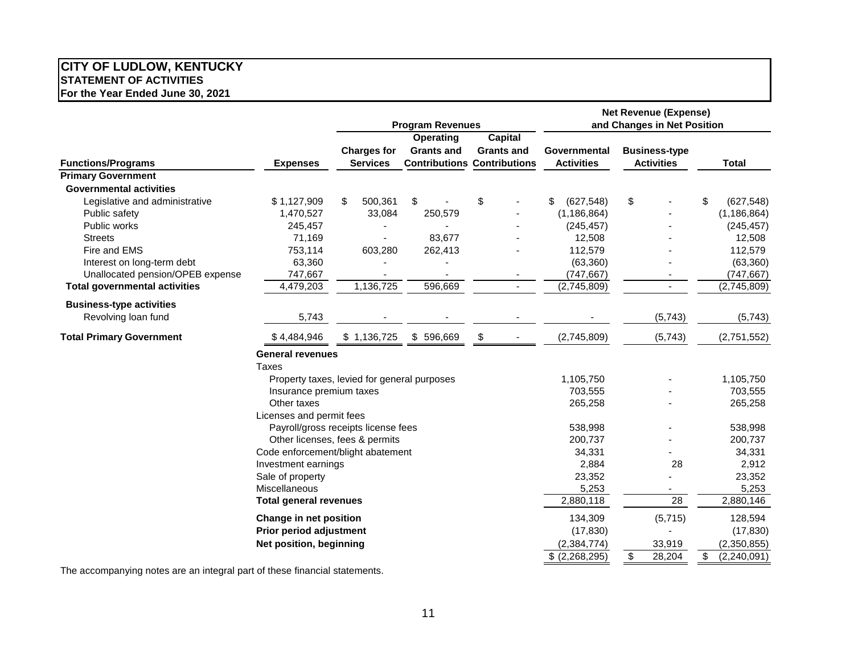#### **CITY OF LUDLOW, KENTUCKY STATEMENT OF ACTIVITIES For the Year Ended June 30, 2021**

|                                      |                                             |                                       | <b>Program Revenues</b>                                              |                                     | <b>Net Revenue (Expense)</b><br>and Changes in Net Position |    |                                           |    |               |
|--------------------------------------|---------------------------------------------|---------------------------------------|----------------------------------------------------------------------|-------------------------------------|-------------------------------------------------------------|----|-------------------------------------------|----|---------------|
| <b>Functions/Programs</b>            | <b>Expenses</b>                             | <b>Charges for</b><br><b>Services</b> | Operating<br><b>Grants and</b><br><b>Contributions Contributions</b> | <b>Capital</b><br><b>Grants and</b> | Governmental<br><b>Activities</b>                           |    | <b>Business-type</b><br><b>Activities</b> |    | <b>Total</b>  |
| <b>Primary Government</b>            |                                             |                                       |                                                                      |                                     |                                                             |    |                                           |    |               |
| <b>Governmental activities</b>       |                                             |                                       |                                                                      |                                     |                                                             |    |                                           |    |               |
| Legislative and administrative       | \$1,127,909                                 | \$<br>500,361                         | \$                                                                   | \$                                  | (627, 548)<br>\$                                            | \$ |                                           | \$ | (627, 548)    |
| Public safety                        | 1,470,527                                   | 33,084                                | 250,579                                                              |                                     | (1, 186, 864)                                               |    |                                           |    | (1, 186, 864) |
| Public works                         | 245,457                                     |                                       |                                                                      |                                     | (245, 457)                                                  |    |                                           |    | (245, 457)    |
| <b>Streets</b>                       | 71,169                                      |                                       | 83,677                                                               |                                     | 12,508                                                      |    |                                           |    | 12,508        |
| Fire and EMS                         | 753,114                                     | 603,280                               | 262,413                                                              |                                     | 112,579                                                     |    |                                           |    | 112,579       |
| Interest on long-term debt           | 63,360                                      |                                       |                                                                      |                                     | (63, 360)                                                   |    |                                           |    | (63, 360)     |
| Unallocated pension/OPEB expense     | 747,667                                     |                                       |                                                                      |                                     | (747, 667)                                                  |    |                                           |    | (747, 667)    |
| <b>Total governmental activities</b> | 4,479,203                                   | 1,136,725                             | 596,669                                                              | $\blacksquare$                      | (2,745,809)                                                 |    |                                           |    | (2,745,809)   |
| <b>Business-type activities</b>      |                                             |                                       |                                                                      |                                     |                                                             |    |                                           |    |               |
| Revolving loan fund                  | 5,743                                       |                                       |                                                                      |                                     |                                                             |    | (5,743)                                   |    | (5,743)       |
| <b>Total Primary Government</b>      | \$4,484,946                                 | \$1,136,725                           | \$596,669                                                            | \$                                  | (2,745,809)                                                 |    | (5,743)                                   |    | (2,751,552)   |
|                                      | <b>General revenues</b>                     |                                       |                                                                      |                                     |                                                             |    |                                           |    |               |
|                                      | <b>Taxes</b>                                |                                       |                                                                      |                                     |                                                             |    |                                           |    |               |
|                                      | Property taxes, levied for general purposes |                                       |                                                                      |                                     | 1,105,750                                                   |    |                                           |    | 1,105,750     |
|                                      | Insurance premium taxes                     |                                       |                                                                      |                                     | 703,555                                                     |    |                                           |    | 703,555       |
|                                      | Other taxes                                 |                                       |                                                                      |                                     | 265,258                                                     |    |                                           |    | 265,258       |
|                                      | Licenses and permit fees                    |                                       |                                                                      |                                     |                                                             |    |                                           |    |               |
|                                      | Payroll/gross receipts license fees         |                                       |                                                                      |                                     | 538,998                                                     |    |                                           |    | 538,998       |
|                                      | Other licenses, fees & permits              |                                       |                                                                      |                                     | 200,737                                                     |    |                                           |    | 200,737       |
|                                      | Code enforcement/blight abatement           |                                       |                                                                      |                                     | 34,331                                                      |    |                                           |    | 34,331        |
|                                      | Investment earnings                         |                                       |                                                                      |                                     | 2,884                                                       |    | 28                                        |    | 2,912         |
|                                      | Sale of property                            |                                       |                                                                      |                                     | 23,352                                                      |    |                                           |    | 23,352        |
|                                      | Miscellaneous                               |                                       |                                                                      |                                     | 5,253                                                       |    |                                           |    | 5,253         |
|                                      | <b>Total general revenues</b>               |                                       |                                                                      |                                     | 2,880,118                                                   |    | 28                                        |    | 2,880,146     |
|                                      | Change in net position                      |                                       |                                                                      |                                     | 134,309                                                     |    | (5, 715)                                  |    | 128,594       |
|                                      | <b>Prior period adjustment</b>              |                                       |                                                                      |                                     | (17, 830)                                                   |    |                                           |    | (17, 830)     |
|                                      | Net position, beginning                     |                                       |                                                                      |                                     | (2, 384, 774)                                               |    | 33,919                                    |    | (2,350,855)   |
|                                      |                                             |                                       |                                                                      |                                     | \$ (2,268,295)                                              | \$ | 28,204                                    | \$ | (2,240,091)   |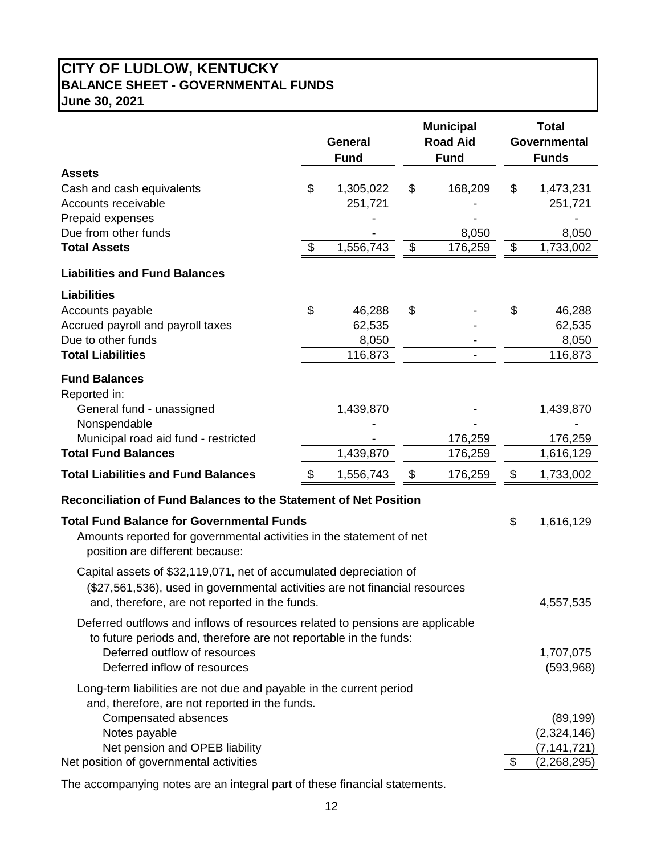# **CITY OF LUDLOW, KENTUCKY BALANCE SHEET - GOVERNMENTAL FUNDS June 30, 2021**

|                                                                                                                                                                                                                                             | <b>Municipal</b><br><b>Road Aid</b><br><b>General</b><br><b>Fund</b><br><b>Fund</b> |                                      | <b>Total</b><br>Governmental<br><b>Funds</b> |                                                                |
|---------------------------------------------------------------------------------------------------------------------------------------------------------------------------------------------------------------------------------------------|-------------------------------------------------------------------------------------|--------------------------------------|----------------------------------------------|----------------------------------------------------------------|
| <b>Assets</b><br>Cash and cash equivalents<br>Accounts receivable<br>Prepaid expenses                                                                                                                                                       | \$                                                                                  | 1,305,022<br>251,721                 | \$<br>168,209                                | \$<br>1,473,231<br>251,721                                     |
| Due from other funds<br><b>Total Assets</b>                                                                                                                                                                                                 | \$                                                                                  | 1,556,743                            | \$<br>8,050<br>176,259                       | \$<br>8,050<br>1,733,002                                       |
| <b>Liabilities and Fund Balances</b>                                                                                                                                                                                                        |                                                                                     |                                      |                                              |                                                                |
| <b>Liabilities</b><br>Accounts payable<br>Accrued payroll and payroll taxes<br>Due to other funds<br><b>Total Liabilities</b>                                                                                                               | \$                                                                                  | 46,288<br>62,535<br>8,050<br>116,873 | \$                                           | \$<br>46,288<br>62,535<br>8,050<br>116,873                     |
| <b>Fund Balances</b><br>Reported in:<br>General fund - unassigned<br>Nonspendable<br>Municipal road aid fund - restricted<br><b>Total Fund Balances</b>                                                                                     |                                                                                     | 1,439,870<br>1,439,870               | 176,259<br>176,259                           | 1,439,870<br>176,259<br>1,616,129                              |
| <b>Total Liabilities and Fund Balances</b>                                                                                                                                                                                                  | S                                                                                   | 1,556,743                            | \$<br>176,259                                | \$<br>1,733,002                                                |
| Reconciliation of Fund Balances to the Statement of Net Position                                                                                                                                                                            |                                                                                     |                                      |                                              |                                                                |
| <b>Total Fund Balance for Governmental Funds</b><br>Amounts reported for governmental activities in the statement of net<br>position are different because:                                                                                 |                                                                                     |                                      |                                              | \$<br>1,616,129                                                |
| Capital assets of \$32,119,071, net of accumulated depreciation of<br>(\$27,561,536), used in governmental activities are not financial resources<br>and, therefore, are not reported in the funds.                                         |                                                                                     |                                      |                                              | 4,557,535                                                      |
| Deferred outflows and inflows of resources related to pensions are applicable<br>to future periods and, therefore are not reportable in the funds:<br>Deferred outflow of resources<br>Deferred inflow of resources                         |                                                                                     |                                      |                                              | 1,707,075<br>(593, 968)                                        |
| Long-term liabilities are not due and payable in the current period<br>and, therefore, are not reported in the funds.<br>Compensated absences<br>Notes payable<br>Net pension and OPEB liability<br>Net position of governmental activities |                                                                                     |                                      |                                              | \$<br>(89, 199)<br>(2,324,146)<br>(7, 141, 721)<br>(2,268,295) |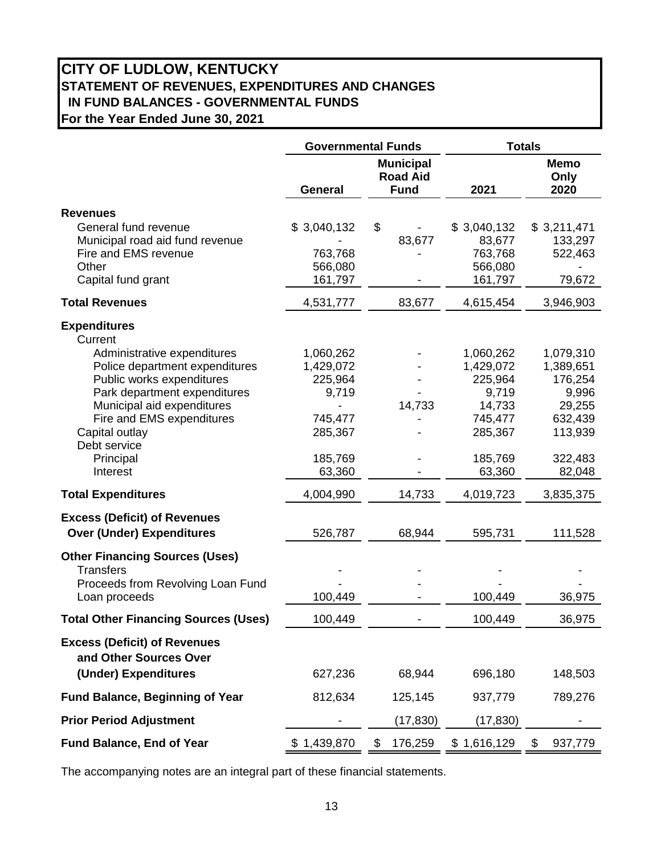# **CITY OF LUDLOW, KENTUCKY STATEMENT OF REVENUES, EXPENDITURES AND CHANGES IN FUND BALANCES - GOVERNMENTAL FUNDS For the Year Ended June 30, 2021**

|                                                               | <b>Governmental Funds</b>     |                                                    | <b>Totals</b>                 |                             |  |  |  |
|---------------------------------------------------------------|-------------------------------|----------------------------------------------------|-------------------------------|-----------------------------|--|--|--|
|                                                               | <b>General</b>                | <b>Municipal</b><br><b>Road Aid</b><br><b>Fund</b> | 2021                          | <b>Memo</b><br>Only<br>2020 |  |  |  |
| <b>Revenues</b>                                               |                               |                                                    |                               |                             |  |  |  |
| General fund revenue<br>Municipal road aid fund revenue       | \$3,040,132                   | \$<br>83,677                                       | \$3,040,132<br>83,677         | \$3,211,471<br>133,297      |  |  |  |
| Fire and EMS revenue<br>Other<br>Capital fund grant           | 763,768<br>566,080<br>161,797 |                                                    | 763,768<br>566,080<br>161,797 | 522,463<br>79,672           |  |  |  |
| <b>Total Revenues</b>                                         | 4,531,777                     | 83,677                                             | 4,615,454                     | 3,946,903                   |  |  |  |
| <b>Expenditures</b>                                           |                               |                                                    |                               |                             |  |  |  |
| Current                                                       |                               |                                                    |                               |                             |  |  |  |
| Administrative expenditures                                   | 1,060,262                     |                                                    | 1,060,262                     | 1,079,310                   |  |  |  |
| Police department expenditures                                | 1,429,072                     |                                                    | 1,429,072                     | 1,389,651                   |  |  |  |
| Public works expenditures<br>Park department expenditures     | 225,964<br>9,719              |                                                    | 225,964<br>9,719              | 176,254<br>9,996            |  |  |  |
| Municipal aid expenditures                                    |                               | 14,733                                             | 14,733                        | 29,255                      |  |  |  |
| Fire and EMS expenditures                                     | 745,477                       |                                                    | 745,477                       | 632,439                     |  |  |  |
| Capital outlay                                                | 285,367                       |                                                    | 285,367                       | 113,939                     |  |  |  |
| Debt service                                                  |                               |                                                    |                               |                             |  |  |  |
| Principal                                                     | 185,769                       |                                                    | 185,769                       | 322,483                     |  |  |  |
| Interest                                                      | 63,360                        |                                                    | 63,360                        | 82,048                      |  |  |  |
| <b>Total Expenditures</b>                                     | 4,004,990                     | 14,733                                             | 4,019,723                     | 3,835,375                   |  |  |  |
| <b>Excess (Deficit) of Revenues</b>                           |                               |                                                    |                               |                             |  |  |  |
| <b>Over (Under) Expenditures</b>                              | 526,787                       | 68,944                                             | 595,731                       | 111,528                     |  |  |  |
| <b>Other Financing Sources (Uses)</b>                         |                               |                                                    |                               |                             |  |  |  |
| <b>Transfers</b><br>Proceeds from Revolving Loan Fund         |                               |                                                    |                               |                             |  |  |  |
| Loan proceeds                                                 | 100,449                       |                                                    | 100,449                       | 36,975                      |  |  |  |
| <b>Total Other Financing Sources (Uses)</b>                   | 100,449                       |                                                    | 100,449                       | 36,975                      |  |  |  |
| <b>Excess (Deficit) of Revenues</b><br>and Other Sources Over |                               |                                                    |                               |                             |  |  |  |
| (Under) Expenditures                                          | 627,236                       | 68,944                                             | 696,180                       | 148,503                     |  |  |  |
| <b>Fund Balance, Beginning of Year</b>                        | 812,634                       | 125,145                                            | 937,779                       | 789,276                     |  |  |  |
| <b>Prior Period Adjustment</b>                                |                               | (17, 830)                                          | (17, 830)                     |                             |  |  |  |
| Fund Balance, End of Year                                     | \$1,439,870                   | 176,259<br>$\mathfrak{F}$                          | \$1,616,129                   | \$<br>937,779               |  |  |  |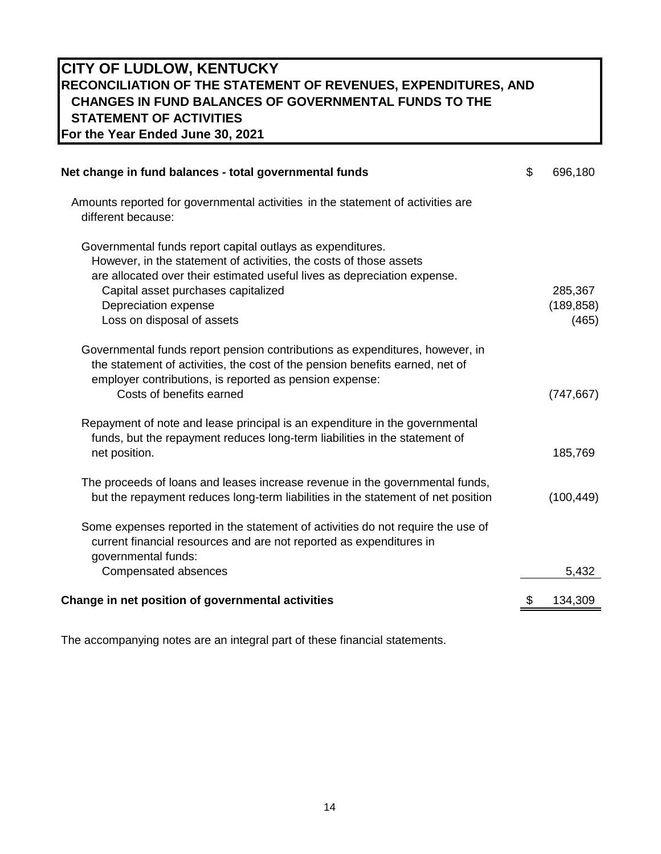## **CITY OF LUDLOW, KENTUCKY RECONCILIATION OF THE STATEMENT OF REVENUES, EXPENDITURES, AND CHANGES IN FUND BALANCES OF GOVERNMENTAL FUNDS TO THE STATEMENT OF ACTIVITIES For the Year Ended June 30, 2021**

| Net change in fund balances - total governmental funds                                                                                                                                                                                                                                                    | \$<br>696,180                  |
|-----------------------------------------------------------------------------------------------------------------------------------------------------------------------------------------------------------------------------------------------------------------------------------------------------------|--------------------------------|
| Amounts reported for governmental activities in the statement of activities are<br>different because:                                                                                                                                                                                                     |                                |
| Governmental funds report capital outlays as expenditures.<br>However, in the statement of activities, the costs of those assets<br>are allocated over their estimated useful lives as depreciation expense.<br>Capital asset purchases capitalized<br>Depreciation expense<br>Loss on disposal of assets | 285,367<br>(189, 858)<br>(465) |
| Governmental funds report pension contributions as expenditures, however, in<br>the statement of activities, the cost of the pension benefits earned, net of<br>employer contributions, is reported as pension expense:<br>Costs of benefits earned                                                       | (747, 667)                     |
| Repayment of note and lease principal is an expenditure in the governmental<br>funds, but the repayment reduces long-term liabilities in the statement of<br>net position.                                                                                                                                | 185,769                        |
| The proceeds of loans and leases increase revenue in the governmental funds,<br>but the repayment reduces long-term liabilities in the statement of net position                                                                                                                                          | (100, 449)                     |
| Some expenses reported in the statement of activities do not require the use of<br>current financial resources and are not reported as expenditures in<br>governmental funds:                                                                                                                             |                                |
| Compensated absences                                                                                                                                                                                                                                                                                      | 5,432                          |
| Change in net position of governmental activities                                                                                                                                                                                                                                                         | 134,309                        |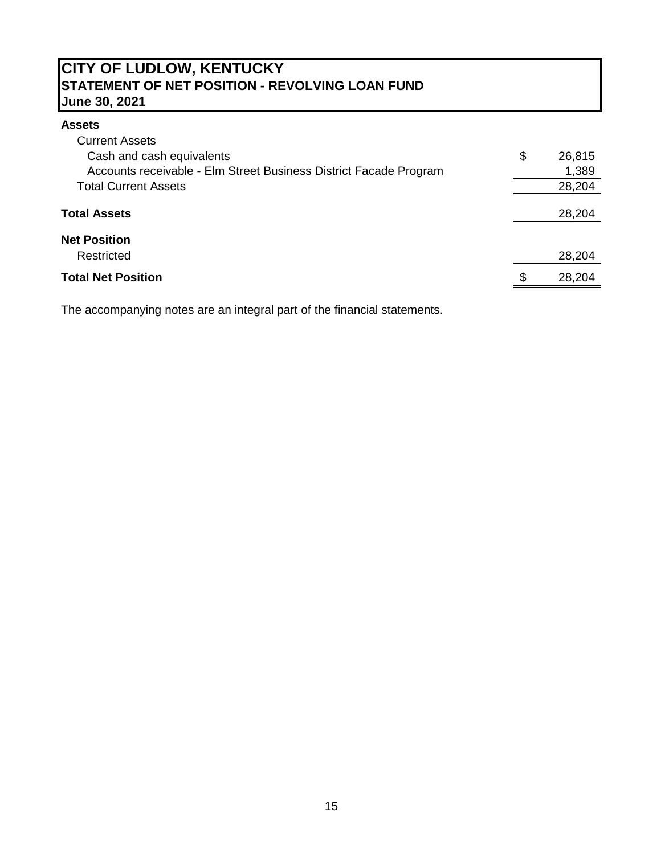# **CITY OF LUDLOW, KENTUCKY STATEMENT OF NET POSITION - REVOLVING LOAN FUND June 30, 2021**

## **Assets**

| <b>Current Assets</b>                                             |     |        |
|-------------------------------------------------------------------|-----|--------|
| Cash and cash equivalents                                         | \$  | 26,815 |
| Accounts receivable - Elm Street Business District Facade Program |     | 1,389  |
| <b>Total Current Assets</b>                                       |     | 28,204 |
| <b>Total Assets</b>                                               |     | 28,204 |
| <b>Net Position</b>                                               |     |        |
| Restricted                                                        |     | 28,204 |
| <b>Total Net Position</b>                                         | \$. | 28,204 |
|                                                                   |     |        |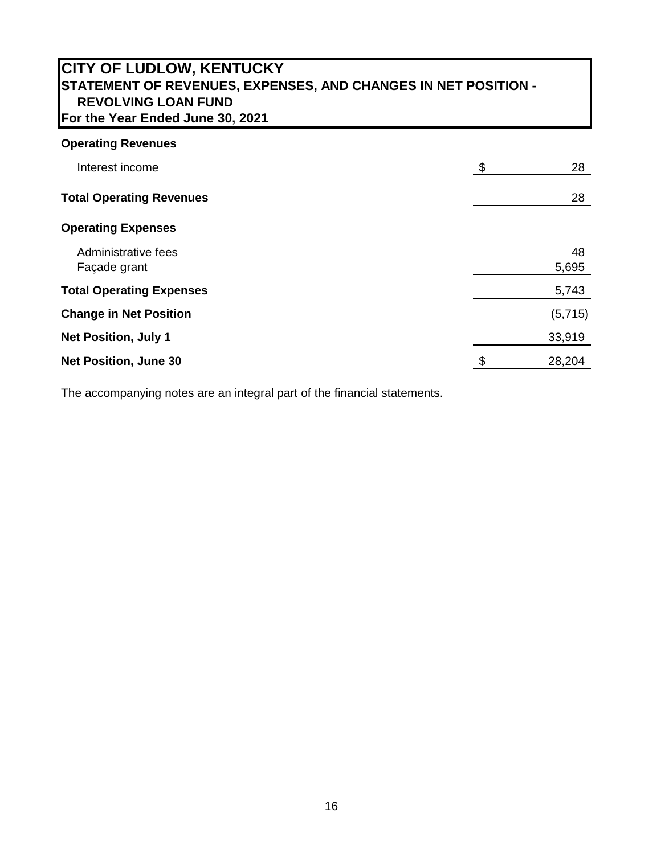# **CITY OF LUDLOW, KENTUCKY STATEMENT OF REVENUES, EXPENSES, AND CHANGES IN NET POSITION - REVOLVING LOAN FUND For the Year Ended June 30, 2021**

# **Operating Revenues**

| Interest income                     | \$<br>28    |
|-------------------------------------|-------------|
| <b>Total Operating Revenues</b>     | 28          |
| <b>Operating Expenses</b>           |             |
| Administrative fees<br>Façade grant | 48<br>5,695 |
| <b>Total Operating Expenses</b>     | 5,743       |
| <b>Change in Net Position</b>       | (5,715)     |
| <b>Net Position, July 1</b>         | 33,919      |
| <b>Net Position, June 30</b>        | 28,204      |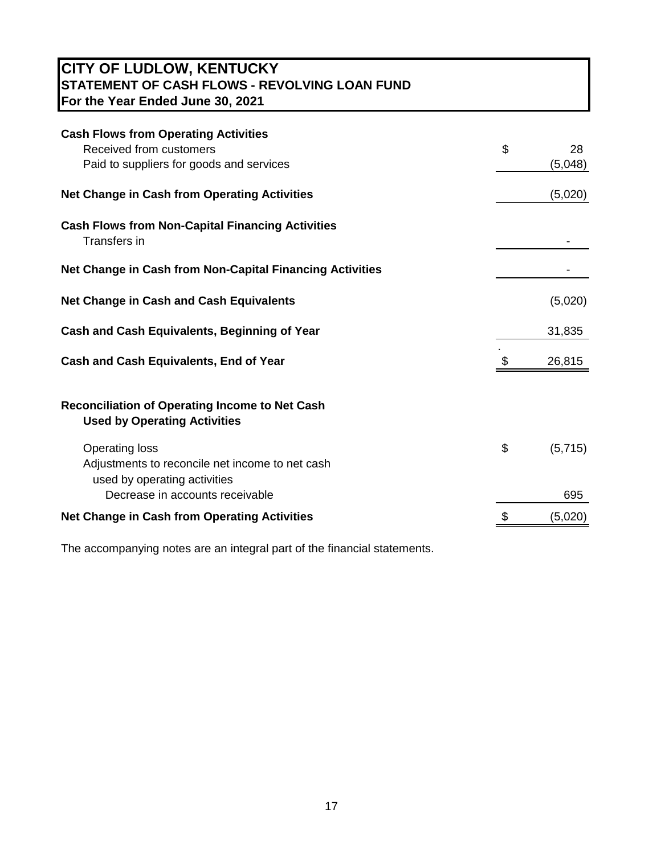# **CITY OF LUDLOW, KENTUCKY STATEMENT OF CASH FLOWS - REVOLVING LOAN FUND For the Year Ended June 30, 2021**

| <b>Cash Flows from Operating Activities</b>                                                              |               |
|----------------------------------------------------------------------------------------------------------|---------------|
| Received from customers                                                                                  | \$<br>28      |
| Paid to suppliers for goods and services                                                                 | (5,048)       |
| Net Change in Cash from Operating Activities                                                             | (5,020)       |
| <b>Cash Flows from Non-Capital Financing Activities</b><br>Transfers in                                  |               |
| Net Change in Cash from Non-Capital Financing Activities                                                 |               |
| <b>Net Change in Cash and Cash Equivalents</b>                                                           | (5,020)       |
| Cash and Cash Equivalents, Beginning of Year                                                             | 31,835        |
| <b>Cash and Cash Equivalents, End of Year</b>                                                            | 26,815        |
| <b>Reconciliation of Operating Income to Net Cash</b><br><b>Used by Operating Activities</b>             |               |
| <b>Operating loss</b><br>Adjustments to reconcile net income to net cash<br>used by operating activities | \$<br>(5,715) |
| Decrease in accounts receivable                                                                          | 695           |
| <b>Net Change in Cash from Operating Activities</b>                                                      | (5,020)       |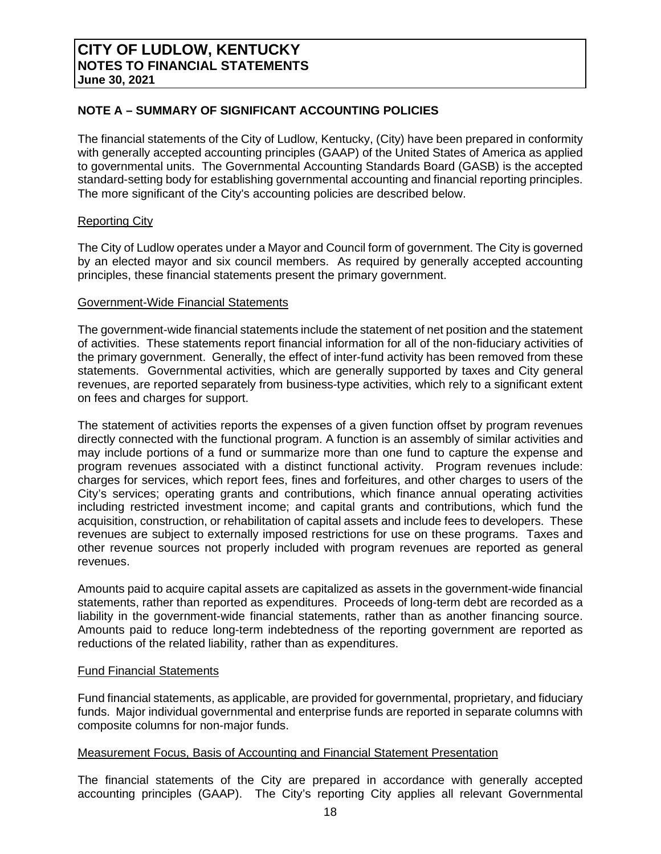## **NOTE A – SUMMARY OF SIGNIFICANT ACCOUNTING POLICIES**

The financial statements of the City of Ludlow, Kentucky, (City) have been prepared in conformity with generally accepted accounting principles (GAAP) of the United States of America as applied to governmental units. The Governmental Accounting Standards Board (GASB) is the accepted standard-setting body for establishing governmental accounting and financial reporting principles. The more significant of the City's accounting policies are described below.

#### Reporting City

The City of Ludlow operates under a Mayor and Council form of government. The City is governed by an elected mayor and six council members. As required by generally accepted accounting principles, these financial statements present the primary government.

#### Government-Wide Financial Statements

The government-wide financial statements include the statement of net position and the statement of activities. These statements report financial information for all of the non-fiduciary activities of the primary government. Generally, the effect of inter-fund activity has been removed from these statements. Governmental activities, which are generally supported by taxes and City general revenues, are reported separately from business-type activities, which rely to a significant extent on fees and charges for support.

The statement of activities reports the expenses of a given function offset by program revenues directly connected with the functional program. A function is an assembly of similar activities and may include portions of a fund or summarize more than one fund to capture the expense and program revenues associated with a distinct functional activity. Program revenues include: charges for services, which report fees, fines and forfeitures, and other charges to users of the City's services; operating grants and contributions, which finance annual operating activities including restricted investment income; and capital grants and contributions, which fund the acquisition, construction, or rehabilitation of capital assets and include fees to developers. These revenues are subject to externally imposed restrictions for use on these programs. Taxes and other revenue sources not properly included with program revenues are reported as general revenues.

Amounts paid to acquire capital assets are capitalized as assets in the government-wide financial statements, rather than reported as expenditures. Proceeds of long-term debt are recorded as a liability in the government-wide financial statements, rather than as another financing source. Amounts paid to reduce long-term indebtedness of the reporting government are reported as reductions of the related liability, rather than as expenditures.

## Fund Financial Statements

Fund financial statements, as applicable, are provided for governmental, proprietary, and fiduciary funds. Major individual governmental and enterprise funds are reported in separate columns with composite columns for non-major funds.

#### Measurement Focus, Basis of Accounting and Financial Statement Presentation

The financial statements of the City are prepared in accordance with generally accepted accounting principles (GAAP). The City's reporting City applies all relevant Governmental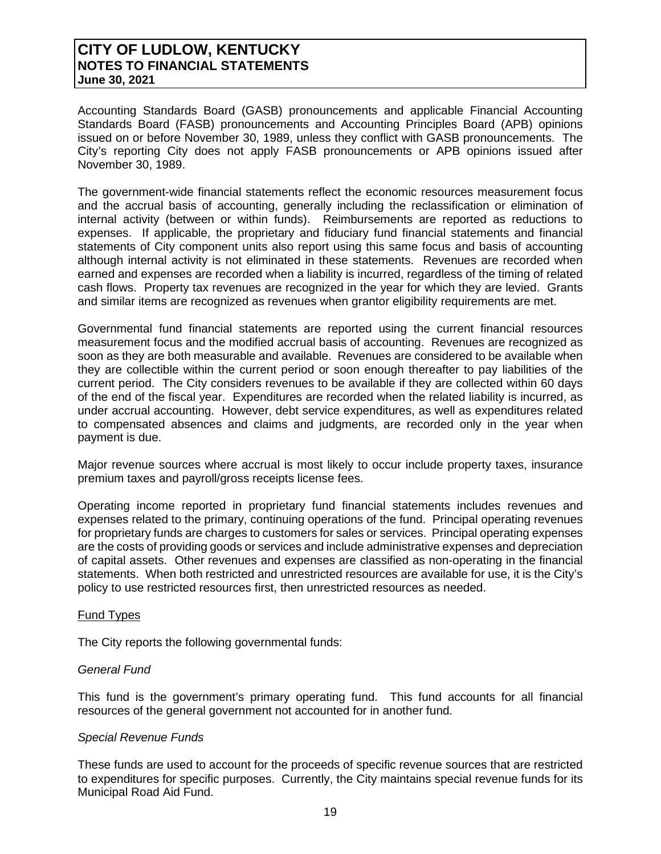Accounting Standards Board (GASB) pronouncements and applicable Financial Accounting Standards Board (FASB) pronouncements and Accounting Principles Board (APB) opinions issued on or before November 30, 1989, unless they conflict with GASB pronouncements. The City's reporting City does not apply FASB pronouncements or APB opinions issued after November 30, 1989.

The government-wide financial statements reflect the economic resources measurement focus and the accrual basis of accounting, generally including the reclassification or elimination of internal activity (between or within funds). Reimbursements are reported as reductions to expenses. If applicable, the proprietary and fiduciary fund financial statements and financial statements of City component units also report using this same focus and basis of accounting although internal activity is not eliminated in these statements. Revenues are recorded when earned and expenses are recorded when a liability is incurred, regardless of the timing of related cash flows. Property tax revenues are recognized in the year for which they are levied. Grants and similar items are recognized as revenues when grantor eligibility requirements are met.

Governmental fund financial statements are reported using the current financial resources measurement focus and the modified accrual basis of accounting. Revenues are recognized as soon as they are both measurable and available. Revenues are considered to be available when they are collectible within the current period or soon enough thereafter to pay liabilities of the current period. The City considers revenues to be available if they are collected within 60 days of the end of the fiscal year. Expenditures are recorded when the related liability is incurred, as under accrual accounting. However, debt service expenditures, as well as expenditures related to compensated absences and claims and judgments, are recorded only in the year when payment is due.

Major revenue sources where accrual is most likely to occur include property taxes, insurance premium taxes and payroll/gross receipts license fees.

Operating income reported in proprietary fund financial statements includes revenues and expenses related to the primary, continuing operations of the fund. Principal operating revenues for proprietary funds are charges to customers for sales or services. Principal operating expenses are the costs of providing goods or services and include administrative expenses and depreciation of capital assets. Other revenues and expenses are classified as non-operating in the financial statements. When both restricted and unrestricted resources are available for use, it is the City's policy to use restricted resources first, then unrestricted resources as needed.

#### Fund Types

The City reports the following governmental funds:

#### *General Fund*

This fund is the government's primary operating fund. This fund accounts for all financial resources of the general government not accounted for in another fund.

#### *Special Revenue Funds*

These funds are used to account for the proceeds of specific revenue sources that are restricted to expenditures for specific purposes. Currently, the City maintains special revenue funds for its Municipal Road Aid Fund.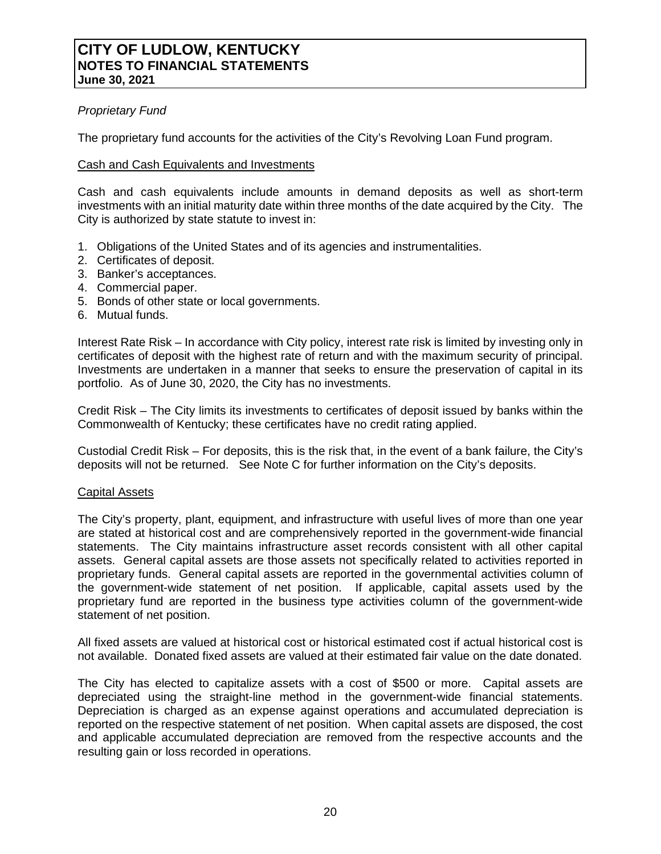## *Proprietary Fund*

The proprietary fund accounts for the activities of the City's Revolving Loan Fund program.

### Cash and Cash Equivalents and Investments

Cash and cash equivalents include amounts in demand deposits as well as short-term investments with an initial maturity date within three months of the date acquired by the City. The City is authorized by state statute to invest in:

- 1. Obligations of the United States and of its agencies and instrumentalities.
- 2. Certificates of deposit.
- 3. Banker's acceptances.
- 4. Commercial paper.
- 5. Bonds of other state or local governments.
- 6. Mutual funds.

Interest Rate Risk – In accordance with City policy, interest rate risk is limited by investing only in certificates of deposit with the highest rate of return and with the maximum security of principal. Investments are undertaken in a manner that seeks to ensure the preservation of capital in its portfolio. As of June 30, 2020, the City has no investments.

Credit Risk – The City limits its investments to certificates of deposit issued by banks within the Commonwealth of Kentucky; these certificates have no credit rating applied.

Custodial Credit Risk – For deposits, this is the risk that, in the event of a bank failure, the City's deposits will not be returned. See Note C for further information on the City's deposits.

#### Capital Assets

The City's property, plant, equipment, and infrastructure with useful lives of more than one year are stated at historical cost and are comprehensively reported in the government-wide financial statements. The City maintains infrastructure asset records consistent with all other capital assets. General capital assets are those assets not specifically related to activities reported in proprietary funds. General capital assets are reported in the governmental activities column of the government-wide statement of net position. If applicable, capital assets used by the proprietary fund are reported in the business type activities column of the government-wide statement of net position.

All fixed assets are valued at historical cost or historical estimated cost if actual historical cost is not available. Donated fixed assets are valued at their estimated fair value on the date donated.

The City has elected to capitalize assets with a cost of \$500 or more. Capital assets are depreciated using the straight-line method in the government-wide financial statements. Depreciation is charged as an expense against operations and accumulated depreciation is reported on the respective statement of net position. When capital assets are disposed, the cost and applicable accumulated depreciation are removed from the respective accounts and the resulting gain or loss recorded in operations.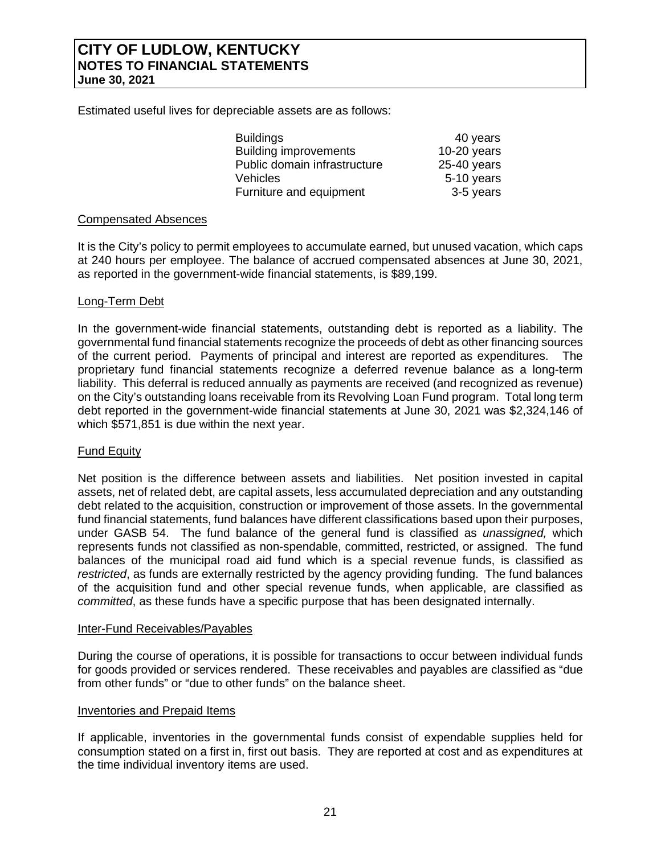Estimated useful lives for depreciable assets are as follows:

| <b>Buildings</b>             | 40 years      |
|------------------------------|---------------|
| <b>Building improvements</b> | $10-20$ years |
| Public domain infrastructure | $25-40$ years |
| <b>Vehicles</b>              | 5-10 years    |
| Furniture and equipment      | 3-5 years     |

### Compensated Absences

It is the City's policy to permit employees to accumulate earned, but unused vacation, which caps at 240 hours per employee. The balance of accrued compensated absences at June 30, 2021, as reported in the government-wide financial statements, is \$89,199.

## Long-Term Debt

In the government-wide financial statements, outstanding debt is reported as a liability. The governmental fund financial statements recognize the proceeds of debt as other financing sources of the current period. Payments of principal and interest are reported as expenditures. proprietary fund financial statements recognize a deferred revenue balance as a long-term liability. This deferral is reduced annually as payments are received (and recognized as revenue) on the City's outstanding loans receivable from its Revolving Loan Fund program. Total long term debt reported in the government-wide financial statements at June 30, 2021 was \$2,324,146 of which \$571,851 is due within the next year.

## Fund Equity

Net position is the difference between assets and liabilities. Net position invested in capital assets, net of related debt, are capital assets, less accumulated depreciation and any outstanding debt related to the acquisition, construction or improvement of those assets. In the governmental fund financial statements, fund balances have different classifications based upon their purposes, under GASB 54. The fund balance of the general fund is classified as *unassigned,* which represents funds not classified as non-spendable, committed, restricted, or assigned. The fund balances of the municipal road aid fund which is a special revenue funds, is classified as *restricted*, as funds are externally restricted by the agency providing funding. The fund balances of the acquisition fund and other special revenue funds, when applicable, are classified as *committed*, as these funds have a specific purpose that has been designated internally.

#### Inter-Fund Receivables/Payables

During the course of operations, it is possible for transactions to occur between individual funds for goods provided or services rendered. These receivables and payables are classified as "due from other funds" or "due to other funds" on the balance sheet.

#### Inventories and Prepaid Items

If applicable, inventories in the governmental funds consist of expendable supplies held for consumption stated on a first in, first out basis. They are reported at cost and as expenditures at the time individual inventory items are used.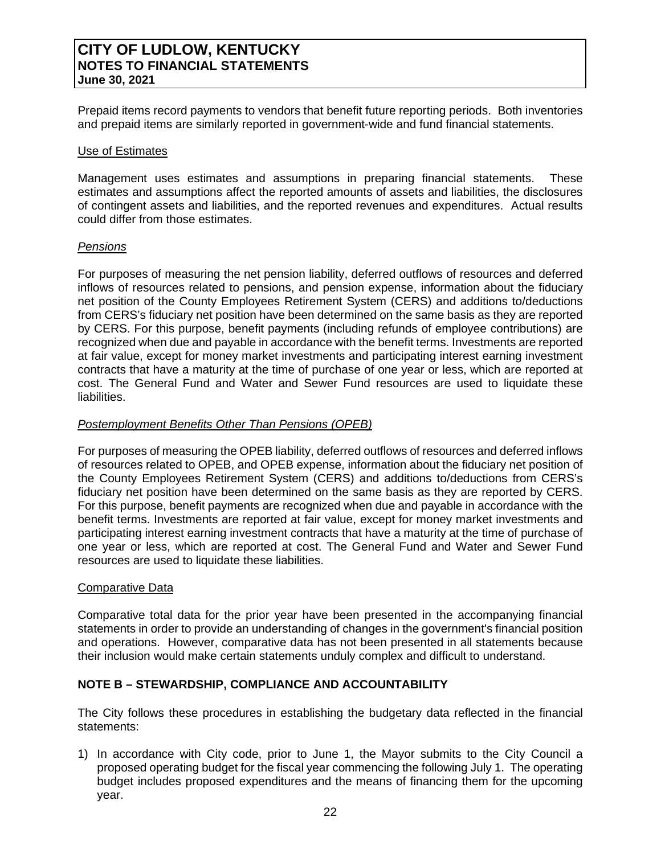Prepaid items record payments to vendors that benefit future reporting periods. Both inventories and prepaid items are similarly reported in government-wide and fund financial statements.

#### Use of Estimates

Management uses estimates and assumptions in preparing financial statements. These estimates and assumptions affect the reported amounts of assets and liabilities, the disclosures of contingent assets and liabilities, and the reported revenues and expenditures. Actual results could differ from those estimates.

#### *Pensions*

For purposes of measuring the net pension liability, deferred outflows of resources and deferred inflows of resources related to pensions, and pension expense, information about the fiduciary net position of the County Employees Retirement System (CERS) and additions to/deductions from CERS's fiduciary net position have been determined on the same basis as they are reported by CERS. For this purpose, benefit payments (including refunds of employee contributions) are recognized when due and payable in accordance with the benefit terms. Investments are reported at fair value, except for money market investments and participating interest earning investment contracts that have a maturity at the time of purchase of one year or less, which are reported at cost. The General Fund and Water and Sewer Fund resources are used to liquidate these liabilities.

## *Postemployment Benefits Other Than Pensions (OPEB)*

For purposes of measuring the OPEB liability, deferred outflows of resources and deferred inflows of resources related to OPEB, and OPEB expense, information about the fiduciary net position of the County Employees Retirement System (CERS) and additions to/deductions from CERS's fiduciary net position have been determined on the same basis as they are reported by CERS. For this purpose, benefit payments are recognized when due and payable in accordance with the benefit terms. Investments are reported at fair value, except for money market investments and participating interest earning investment contracts that have a maturity at the time of purchase of one year or less, which are reported at cost. The General Fund and Water and Sewer Fund resources are used to liquidate these liabilities.

#### Comparative Data

Comparative total data for the prior year have been presented in the accompanying financial statements in order to provide an understanding of changes in the government's financial position and operations. However, comparative data has not been presented in all statements because their inclusion would make certain statements unduly complex and difficult to understand.

## **NOTE B – STEWARDSHIP, COMPLIANCE AND ACCOUNTABILITY**

The City follows these procedures in establishing the budgetary data reflected in the financial statements:

1) In accordance with City code, prior to June 1, the Mayor submits to the City Council a proposed operating budget for the fiscal year commencing the following July 1. The operating budget includes proposed expenditures and the means of financing them for the upcoming year.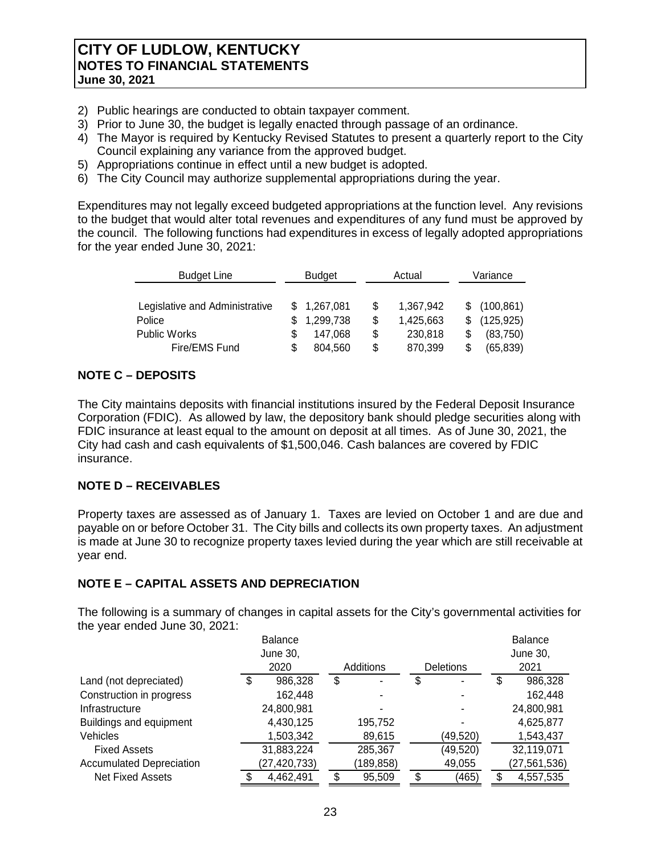- 2) Public hearings are conducted to obtain taxpayer comment.
- 3) Prior to June 30, the budget is legally enacted through passage of an ordinance.
- 4) The Mayor is required by Kentucky Revised Statutes to present a quarterly report to the City Council explaining any variance from the approved budget.
- 5) Appropriations continue in effect until a new budget is adopted.
- 6) The City Council may authorize supplemental appropriations during the year.

Expenditures may not legally exceed budgeted appropriations at the function level. Any revisions to the budget that would alter total revenues and expenditures of any fund must be approved by the council. The following functions had expenditures in excess of legally adopted appropriations for the year ended June 30, 2021:

| <b>Budget Line</b>             |  | <b>Budget</b> |    | Actual    |    | Variance     |  |  |
|--------------------------------|--|---------------|----|-----------|----|--------------|--|--|
|                                |  |               |    |           |    |              |  |  |
| Legislative and Administrative |  | \$1,267,081   | \$ | 1,367,942 |    | \$(100, 861) |  |  |
| Police                         |  | 1,299,738     | \$ | 1,425,663 | S. | (125, 925)   |  |  |
| <b>Public Works</b>            |  | 147,068       | \$ | 230,818   |    | (83,750)     |  |  |
| Fire/EMS Fund                  |  | 804,560       | \$ | 870,399   |    | (65, 839)    |  |  |

## **NOTE C – DEPOSITS**

The City maintains deposits with financial institutions insured by the Federal Deposit Insurance Corporation (FDIC). As allowed by law, the depository bank should pledge securities along with FDIC insurance at least equal to the amount on deposit at all times. As of June 30, 2021, the City had cash and cash equivalents of \$1,500,046. Cash balances are covered by FDIC insurance.

## **NOTE D – RECEIVABLES**

Property taxes are assessed as of January 1. Taxes are levied on October 1 and are due and payable on or before October 31. The City bills and collects its own property taxes. An adjustment is made at June 30 to recognize property taxes levied during the year which are still receivable at year end.

## **NOTE E – CAPITAL ASSETS AND DEPRECIATION**

The following is a summary of changes in capital assets for the City's governmental activities for the year ended June 30, 2021:

|                                 | <b>Balance</b> |                  |                  |   | <b>Balance</b> |
|---------------------------------|----------------|------------------|------------------|---|----------------|
|                                 | June 30,       |                  |                  |   | June 30,       |
|                                 | 2020           | <b>Additions</b> | <b>Deletions</b> |   | 2021           |
| Land (not depreciated)          | \$<br>986,328  | \$               | \$               | S | 986,328        |
| Construction in progress        | 162,448        |                  |                  |   | 162,448        |
| Infrastructure                  | 24,800,981     |                  |                  |   | 24,800,981     |
| Buildings and equipment         | 4,430,125      | 195,752          |                  |   | 4,625,877      |
| <b>Vehicles</b>                 | 1,503,342      | 89,615           | (49,520)         |   | 1,543,437      |
| <b>Fixed Assets</b>             | 31,883,224     | 285,367          | (49,520)         |   | 32,119,071     |
| <b>Accumulated Depreciation</b> | (27,420,733)   | (189, 858)       | 49,055           |   | (27, 561, 536) |
| <b>Net Fixed Assets</b>         | 4,462,491      | 95,509           | (465)            |   | 4,557,535      |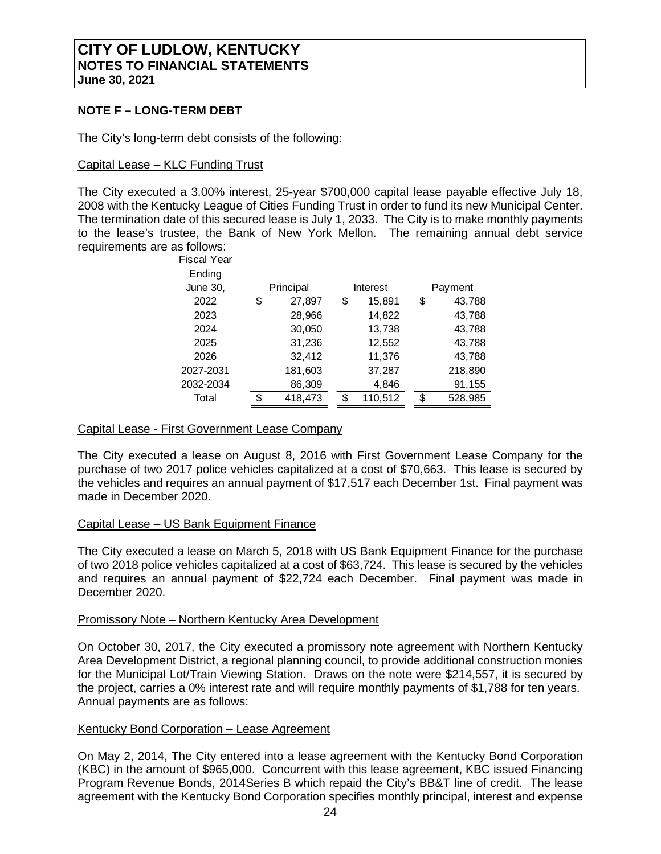## **NOTE F – LONG-TERM DEBT**

The City's long-term debt consists of the following:

#### Capital Lease – KLC Funding Trust

The City executed a 3.00% interest, 25-year \$700,000 capital lease payable effective July 18, 2008 with the Kentucky League of Cities Funding Trust in order to fund its new Municipal Center. The termination date of this secured lease is July 1, 2033. The City is to make monthly payments to the lease's trustee, the Bank of New York Mellon. The remaining annual debt service requirements are as follows:

| <b>Fiscal Year</b> |     |           |               |               |
|--------------------|-----|-----------|---------------|---------------|
| Ending             |     |           |               |               |
| June 30,           |     | Principal | Interest      | Payment       |
| 2022               | \$  | 27,897    | \$<br>15,891  | \$<br>43,788  |
| 2023               |     | 28,966    | 14,822        | 43,788        |
| 2024               |     | 30,050    | 13,738        | 43,788        |
| 2025               |     | 31,236    | 12,552        | 43,788        |
| 2026               |     | 32,412    | 11,376        | 43,788        |
| 2027-2031          |     | 181,603   | 37,287        | 218,890       |
| 2032-2034          |     | 86,309    | 4,846         | 91,155        |
| Total              | \$. | 418,473   | \$<br>110,512 | \$<br>528,985 |

## Capital Lease - First Government Lease Company

The City executed a lease on August 8, 2016 with First Government Lease Company for the purchase of two 2017 police vehicles capitalized at a cost of \$70,663. This lease is secured by the vehicles and requires an annual payment of \$17,517 each December 1st. Final payment was made in December 2020.

#### Capital Lease – US Bank Equipment Finance

The City executed a lease on March 5, 2018 with US Bank Equipment Finance for the purchase of two 2018 police vehicles capitalized at a cost of \$63,724. This lease is secured by the vehicles and requires an annual payment of \$22,724 each December. Final payment was made in December 2020.

#### Promissory Note – Northern Kentucky Area Development

On October 30, 2017, the City executed a promissory note agreement with Northern Kentucky Area Development District, a regional planning council, to provide additional construction monies for the Municipal Lot/Train Viewing Station. Draws on the note were \$214,557, it is secured by the project, carries a 0% interest rate and will require monthly payments of \$1,788 for ten years. Annual payments are as follows:

#### Kentucky Bond Corporation – Lease Agreement

On May 2, 2014, The City entered into a lease agreement with the Kentucky Bond Corporation (KBC) in the amount of \$965,000. Concurrent with this lease agreement, KBC issued Financing Program Revenue Bonds, 2014Series B which repaid the City's BB&T line of credit. The lease agreement with the Kentucky Bond Corporation specifies monthly principal, interest and expense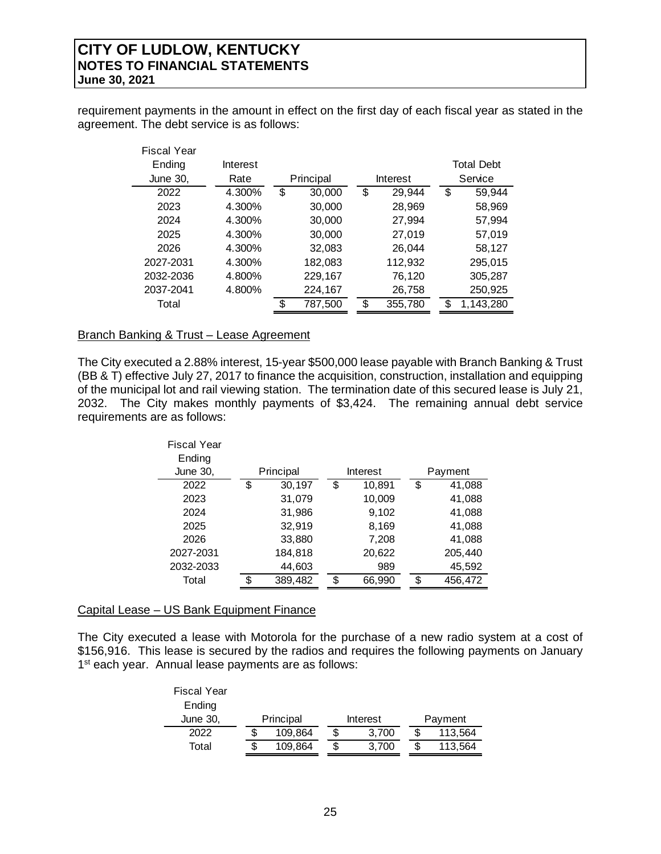requirement payments in the amount in effect on the first day of each fiscal year as stated in the agreement. The debt service is as follows:

| <b>Fiscal Year</b> |          |               |               |                   |
|--------------------|----------|---------------|---------------|-------------------|
| Ending             | Interest |               |               | <b>Total Debt</b> |
| June 30,           | Rate     | Principal     | Interest      | Service           |
| 2022               | 4.300%   | \$<br>30,000  | \$<br>29,944  | \$<br>59,944      |
| 2023               | 4.300%   | 30,000        | 28,969        | 58,969            |
| 2024               | 4.300%   | 30,000        | 27,994        | 57,994            |
| 2025               | 4.300%   | 30,000        | 27,019        | 57,019            |
| 2026               | 4.300%   | 32,083        | 26.044        | 58,127            |
| 2027-2031          | 4.300%   | 182,083       | 112,932       | 295,015           |
| 2032-2036          | 4.800%   | 229,167       | 76,120        | 305,287           |
| 2037-2041          | 4.800%   | 224,167       | 26,758        | 250,925           |
| Total              |          | \$<br>787,500 | \$<br>355,780 | \$<br>1,143,280   |

## Branch Banking & Trust – Lease Agreement

The City executed a 2.88% interest, 15-year \$500,000 lease payable with Branch Banking & Trust (BB & T) effective July 27, 2017 to finance the acquisition, construction, installation and equipping of the municipal lot and rail viewing station. The termination date of this secured lease is July 21, 2032. The City makes monthly payments of \$3,424. The remaining annual debt service requirements are as follows:

| <b>Fiscal Year</b> |     |           |              |               |
|--------------------|-----|-----------|--------------|---------------|
| Ending             |     |           |              |               |
| <b>June 30,</b>    |     | Principal | Interest     | Payment       |
| 2022               | \$  | 30,197    | \$<br>10,891 | \$<br>41,088  |
| 2023               |     | 31,079    | 10,009       | 41,088        |
| 2024               |     | 31,986    | 9,102        | 41,088        |
| 2025               |     | 32,919    | 8,169        | 41,088        |
| 2026               |     | 33,880    | 7,208        | 41,088        |
| 2027-2031          |     | 184,818   | 20,622       | 205,440       |
| 2032-2033          |     | 44,603    | 989          | 45,592        |
| Total              | \$. | 389,482   | \$<br>66,990 | \$<br>456,472 |

#### Capital Lease – US Bank Equipment Finance

The City executed a lease with Motorola for the purchase of a new radio system at a cost of \$156,916. This lease is secured by the radios and requires the following payments on January 1<sup>st</sup> each year. Annual lease payments are as follows:

| <b>Fiscal Year</b> |    |           |   |          |   |         |
|--------------------|----|-----------|---|----------|---|---------|
| Ending             |    |           |   |          |   |         |
| June 30,           |    | Principal |   | Interest |   | Payment |
| 2022               |    | 109,864   | S | 3.700    | S | 113,564 |
| Total              | S. | 109,864   | S | 3,700    | S | 113,564 |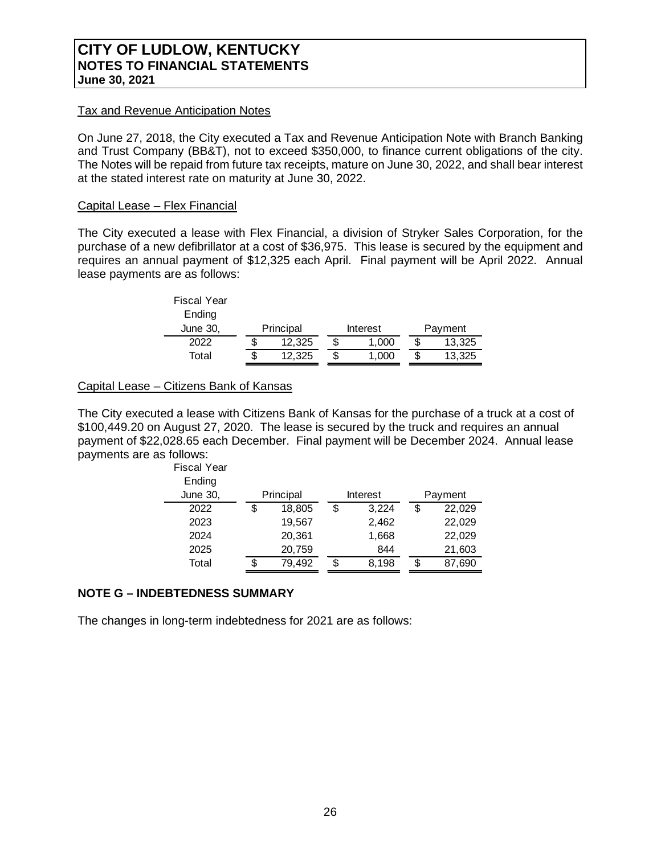#### Tax and Revenue Anticipation Notes

On June 27, 2018, the City executed a Tax and Revenue Anticipation Note with Branch Banking and Trust Company (BB&T), not to exceed \$350,000, to finance current obligations of the city. The Notes will be repaid from future tax receipts, mature on June 30, 2022, and shall bear interest at the stated interest rate on maturity at June 30, 2022.

### Capital Lease – Flex Financial

The City executed a lease with Flex Financial, a division of Stryker Sales Corporation, for the purchase of a new defibrillator at a cost of \$36,975. This lease is secured by the equipment and requires an annual payment of \$12,325 each April. Final payment will be April 2022. Annual lease payments are as follows:

| <b>Fiscal Year</b> |           |   |          |         |
|--------------------|-----------|---|----------|---------|
| Ending             |           |   |          |         |
| June 30,           | Principal |   | Interest | Payment |
| 2022               | 12.325    | S | 1.000    | 13.325  |
| Total              | 12.325    | S | 1,000    | 13,325  |

## Capital Lease – Citizens Bank of Kansas

The City executed a lease with Citizens Bank of Kansas for the purchase of a truck at a cost of \$100,449.20 on August 27, 2020. The lease is secured by the truck and requires an annual payment of \$22,028.65 each December. Final payment will be December 2024. Annual lease payments are as follows:

| <b>Fiscal Year</b> |    |           |    |          |    |         |
|--------------------|----|-----------|----|----------|----|---------|
| Ending             |    |           |    |          |    |         |
| <b>June 30,</b>    |    | Principal |    | Interest |    | Payment |
| 2022               | \$ | 18,805    | S  | 3,224    | \$ | 22,029  |
| 2023               |    | 19,567    |    | 2,462    |    | 22,029  |
| 2024               |    | 20,361    |    | 1,668    |    | 22,029  |
| 2025               |    | 20,759    |    | 844      |    | 21,603  |
| Total              | S. | 79,492    | \$ | 8,198    | S  | 87,690  |

## **NOTE G – INDEBTEDNESS SUMMARY**

The changes in long-term indebtedness for 2021 are as follows: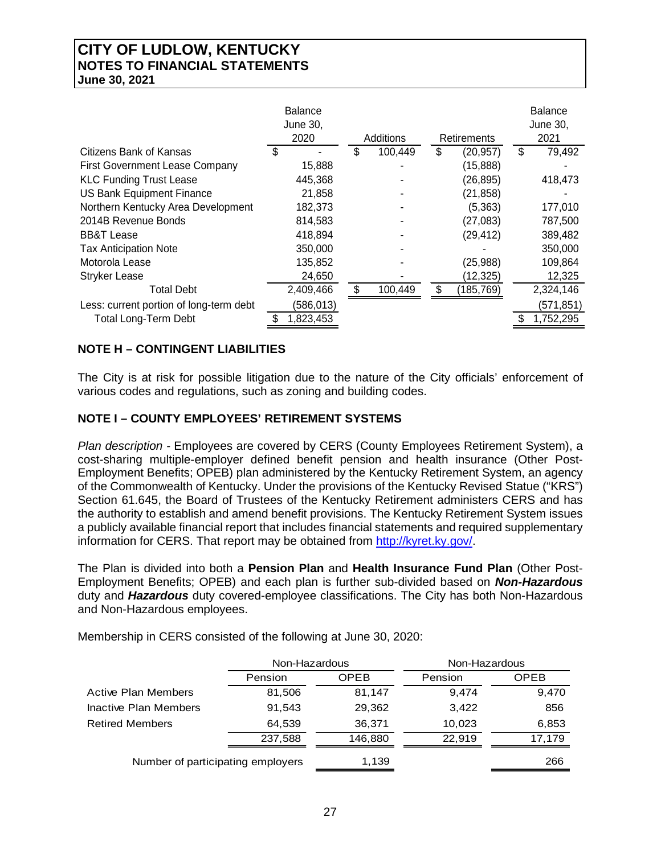|                                         | <b>Balance</b><br>June 30,<br>2020 | Additions     | Retirements     | <b>Balance</b><br>June 30,<br>2021 |
|-----------------------------------------|------------------------------------|---------------|-----------------|------------------------------------|
| Citizens Bank of Kansas                 | S                                  | \$<br>100,449 | \$<br>(20, 957) | \$<br>79,492                       |
| <b>First Government Lease Company</b>   | 15,888                             |               | (15,888)        |                                    |
| <b>KLC Funding Trust Lease</b>          | 445,368                            |               | (26, 895)       | 418,473                            |
| <b>US Bank Equipment Finance</b>        | 21,858                             |               | (21, 858)       |                                    |
| Northern Kentucky Area Development      | 182,373                            |               | (5,363)         | 177,010                            |
| 2014B Revenue Bonds                     | 814,583                            |               | (27, 083)       | 787,500                            |
| <b>BB&amp;T Lease</b>                   | 418,894                            |               | (29, 412)       | 389,482                            |
| <b>Tax Anticipation Note</b>            | 350,000                            |               |                 | 350,000                            |
| Motorola Lease                          | 135,852                            |               | (25, 988)       | 109,864                            |
| <b>Stryker Lease</b>                    | 24,650                             |               | (12, 325)       | 12,325                             |
| <b>Total Debt</b>                       | 2,409,466                          | 100,449       | (185,769)       | 2,324,146                          |
| Less: current portion of long-term debt | (586,013)                          |               |                 | (571, 851)                         |
| <b>Total Long-Term Debt</b>             | 1,823,453                          |               |                 | 1,752,295                          |

## **NOTE H – CONTINGENT LIABILITIES**

The City is at risk for possible litigation due to the nature of the City officials' enforcement of various codes and regulations, such as zoning and building codes.

## **NOTE I – COUNTY EMPLOYEES' RETIREMENT SYSTEMS**

*Plan description -* Employees are covered by CERS (County Employees Retirement System), a cost-sharing multiple-employer defined benefit pension and health insurance (Other Post-Employment Benefits; OPEB) plan administered by the Kentucky Retirement System, an agency of the Commonwealth of Kentucky. Under the provisions of the Kentucky Revised Statue ("KRS") Section 61.645, the Board of Trustees of the Kentucky Retirement administers CERS and has the authority to establish and amend benefit provisions. The Kentucky Retirement System issues a publicly available financial report that includes financial statements and required supplementary information for CERS. That report may be obtained from http://kyret.ky.gov/.

The Plan is divided into both a **Pension Plan** and **Health Insurance Fund Plan** (Other Post-Employment Benefits; OPEB) and each plan is further sub-divided based on *Non-Hazardous* duty and *Hazardous* duty covered-employee classifications. The City has both Non-Hazardous and Non-Hazardous employees.

Membership in CERS consisted of the following at June 30, 2020:

|                                   | Non-Hazardous |             | Non-Hazardous |             |  |
|-----------------------------------|---------------|-------------|---------------|-------------|--|
|                                   | Pension       | <b>OPEB</b> | Pension       | <b>OPEB</b> |  |
| <b>Active Plan Members</b>        | 81,506        | 81,147      | 9.474         | 9,470       |  |
| Inactive Plan Members             | 91,543        | 29,362      | 3,422         | 856         |  |
| <b>Retired Members</b>            | 64.539        | 36,371      | 10,023        | 6,853       |  |
|                                   | 237,588       | 146,880     | 22.919        | 17,179      |  |
| Number of participating employers |               | 1,139       |               | 266         |  |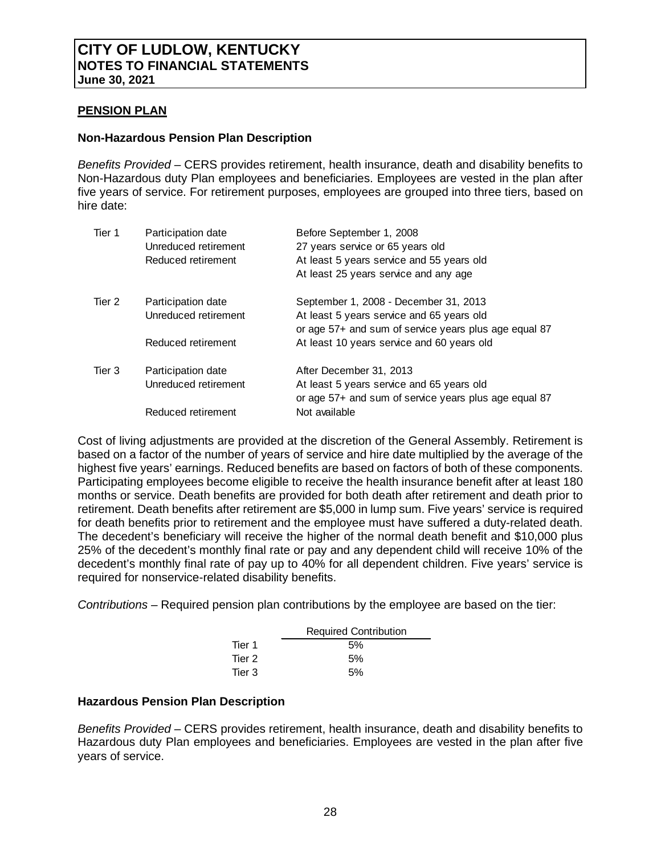#### **PENSION PLAN**

#### **Non-Hazardous Pension Plan Description**

*Benefits Provided –* CERS provides retirement, health insurance, death and disability benefits to Non-Hazardous duty Plan employees and beneficiaries. Employees are vested in the plan after five years of service. For retirement purposes, employees are grouped into three tiers, based on hire date:

| Tier 1 | Participation date<br>Unreduced retirement | Before September 1, 2008<br>27 years service or 65 years old                                       |
|--------|--------------------------------------------|----------------------------------------------------------------------------------------------------|
|        | Reduced retirement                         | At least 5 years service and 55 years old                                                          |
|        |                                            | At least 25 years service and any age                                                              |
| Tier 2 | Participation date                         | September 1, 2008 - December 31, 2013                                                              |
|        | Unreduced retirement                       | At least 5 years service and 65 years old<br>or age 57+ and sum of service years plus age equal 87 |
|        | Reduced retirement                         | At least 10 years service and 60 years old                                                         |
| Tier 3 | Participation date                         | After December 31, 2013                                                                            |
|        | Unreduced retirement                       | At least 5 years service and 65 years old<br>or age 57+ and sum of service years plus age equal 87 |
|        | Reduced retirement                         | Not available                                                                                      |

Cost of living adjustments are provided at the discretion of the General Assembly. Retirement is based on a factor of the number of years of service and hire date multiplied by the average of the highest five years' earnings. Reduced benefits are based on factors of both of these components. Participating employees become eligible to receive the health insurance benefit after at least 180 months or service. Death benefits are provided for both death after retirement and death prior to retirement. Death benefits after retirement are \$5,000 in lump sum. Five years' service is required for death benefits prior to retirement and the employee must have suffered a duty-related death. The decedent's beneficiary will receive the higher of the normal death benefit and \$10,000 plus 25% of the decedent's monthly final rate or pay and any dependent child will receive 10% of the decedent's monthly final rate of pay up to 40% for all dependent children. Five years' service is required for nonservice-related disability benefits.

*Contributions –* Required pension plan contributions by the employee are based on the tier:

|        | <b>Required Contribution</b> |  |
|--------|------------------------------|--|
| Tier 1 | 5%                           |  |
| Tier 2 | 5%                           |  |
| Tier 3 | 5%                           |  |

#### **Hazardous Pension Plan Description**

*Benefits Provided –* CERS provides retirement, health insurance, death and disability benefits to Hazardous duty Plan employees and beneficiaries. Employees are vested in the plan after five years of service.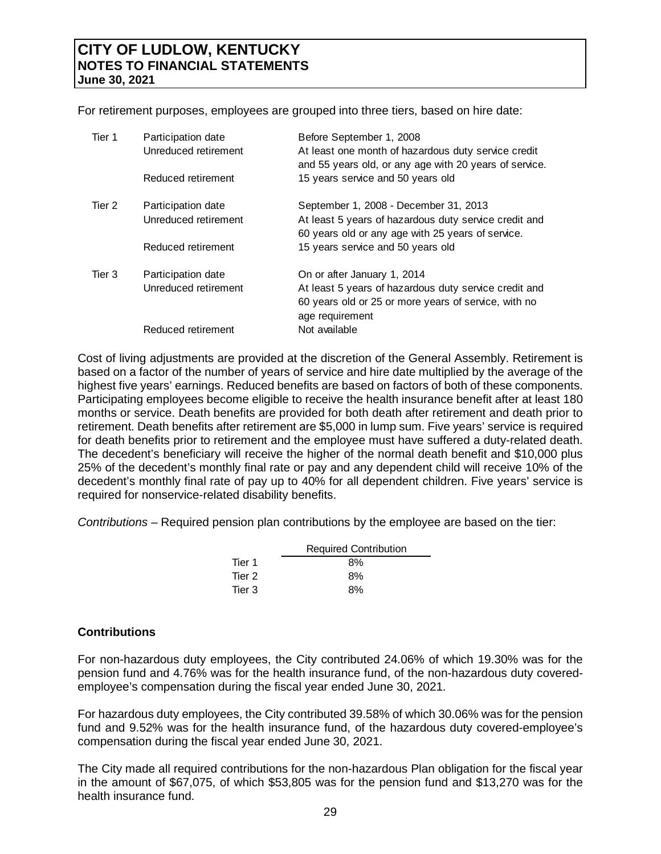For retirement purposes, employees are grouped into three tiers, based on hire date:

| Tier 1 | Participation date<br>Unreduced retirement<br>Reduced retirement | Before September 1, 2008<br>At least one month of hazardous duty service credit<br>and 55 years old, or any age with 20 years of service.<br>15 years service and 50 years old |
|--------|------------------------------------------------------------------|--------------------------------------------------------------------------------------------------------------------------------------------------------------------------------|
| Tier 2 | Participation date<br>Unreduced retirement                       | September 1, 2008 - December 31, 2013<br>At least 5 years of hazardous duty service credit and<br>60 years old or any age with 25 years of service.                            |
|        | Reduced retirement                                               | 15 years service and 50 years old                                                                                                                                              |
| Tier 3 | Participation date<br>Unreduced retirement                       | On or after January 1, 2014<br>At least 5 years of hazardous duty service credit and<br>60 years old or 25 or more years of service, with no<br>age requirement                |
|        | Reduced retirement                                               | Not available                                                                                                                                                                  |

Cost of living adjustments are provided at the discretion of the General Assembly. Retirement is based on a factor of the number of years of service and hire date multiplied by the average of the highest five years' earnings. Reduced benefits are based on factors of both of these components. Participating employees become eligible to receive the health insurance benefit after at least 180 months or service. Death benefits are provided for both death after retirement and death prior to retirement. Death benefits after retirement are \$5,000 in lump sum. Five years' service is required for death benefits prior to retirement and the employee must have suffered a duty-related death. The decedent's beneficiary will receive the higher of the normal death benefit and \$10,000 plus 25% of the decedent's monthly final rate or pay and any dependent child will receive 10% of the decedent's monthly final rate of pay up to 40% for all dependent children. Five years' service is required for nonservice-related disability benefits.

*Contributions –* Required pension plan contributions by the employee are based on the tier:

|        | <b>Required Contribution</b> |
|--------|------------------------------|
| Tier 1 | 8%                           |
| Tier 2 | 8%                           |
| Tier 3 | 8%                           |

## **Contributions**

For non-hazardous duty employees, the City contributed 24.06% of which 19.30% was for the pension fund and 4.76% was for the health insurance fund, of the non-hazardous duty coveredemployee's compensation during the fiscal year ended June 30, 2021.

For hazardous duty employees, the City contributed 39.58% of which 30.06% was for the pension fund and 9.52% was for the health insurance fund, of the hazardous duty covered-employee's compensation during the fiscal year ended June 30, 2021.

The City made all required contributions for the non-hazardous Plan obligation for the fiscal year in the amount of \$67,075, of which \$53,805 was for the pension fund and \$13,270 was for the health insurance fund.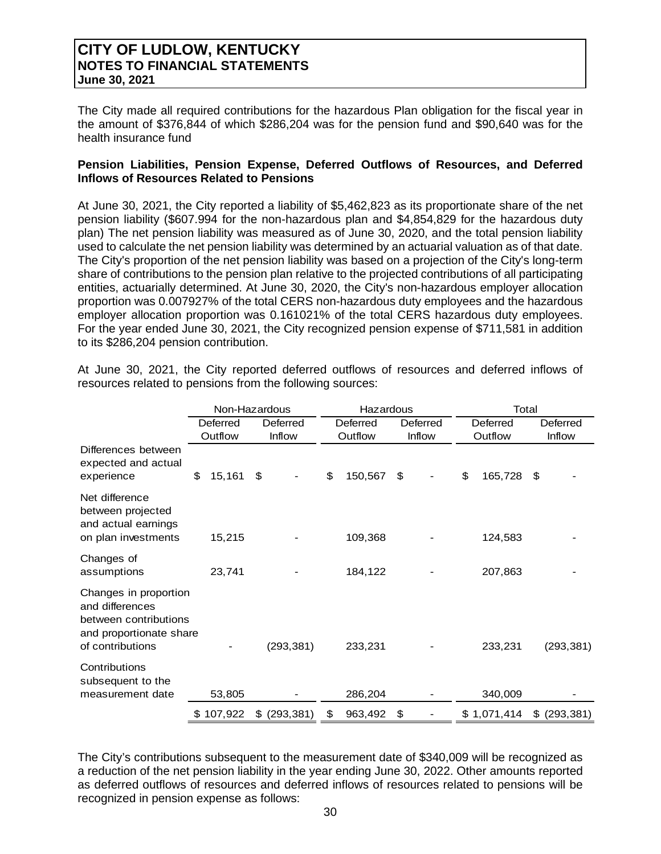The City made all required contributions for the hazardous Plan obligation for the fiscal year in the amount of \$376,844 of which \$286,204 was for the pension fund and \$90,640 was for the health insurance fund

### **Pension Liabilities, Pension Expense, Deferred Outflows of Resources, and Deferred Inflows of Resources Related to Pensions**

At June 30, 2021, the City reported a liability of \$5,462,823 as its proportionate share of the net pension liability (\$607.994 for the non-hazardous plan and \$4,854,829 for the hazardous duty plan) The net pension liability was measured as of June 30, 2020, and the total pension liability used to calculate the net pension liability was determined by an actuarial valuation as of that date. The City's proportion of the net pension liability was based on a projection of the City's long-term share of contributions to the pension plan relative to the projected contributions of all participating entities, actuarially determined. At June 30, 2020, the City's non-hazardous employer allocation proportion was 0.007927% of the total CERS non-hazardous duty employees and the hazardous employer allocation proportion was 0.161021% of the total CERS hazardous duty employees. For the year ended June 30, 2021, the City recognized pension expense of \$711,581 in addition to its \$286,204 pension contribution.

|                                                                                                                  |              | Non-Hazardous    | Hazardous     |          |               | Total            |
|------------------------------------------------------------------------------------------------------------------|--------------|------------------|---------------|----------|---------------|------------------|
|                                                                                                                  | Deferred     | Deferred         | Deferred      | Deferred | Deferred      | Deferred         |
|                                                                                                                  | Outflow      | Inflow           | Outflow       | Inflow   | Outflow       | Inflow           |
| Differences between<br>expected and actual<br>experience                                                         | \$<br>15,161 | \$               | \$<br>150,567 | \$       | \$<br>165,728 | S                |
| Net difference<br>between projected<br>and actual earnings<br>on plan investments                                | 15,215       |                  | 109,368       |          | 124,583       |                  |
| Changes of<br>assumptions                                                                                        | 23,741       |                  | 184,122       |          | 207,863       |                  |
| Changes in proportion<br>and differences<br>between contributions<br>and proportionate share<br>of contributions |              | (293, 381)       | 233,231       |          | 233,231       | (293, 381)       |
| Contributions<br>subsequent to the<br>measurement date                                                           | 53,805       |                  | 286,204       |          | 340,009       |                  |
|                                                                                                                  | \$107,922    | (293, 381)<br>\$ | \$<br>963,492 | \$       | \$1,071,414   | \$<br>(293, 381) |

At June 30, 2021, the City reported deferred outflows of resources and deferred inflows of resources related to pensions from the following sources:

The City's contributions subsequent to the measurement date of \$340,009 will be recognized as a reduction of the net pension liability in the year ending June 30, 2022. Other amounts reported as deferred outflows of resources and deferred inflows of resources related to pensions will be recognized in pension expense as follows: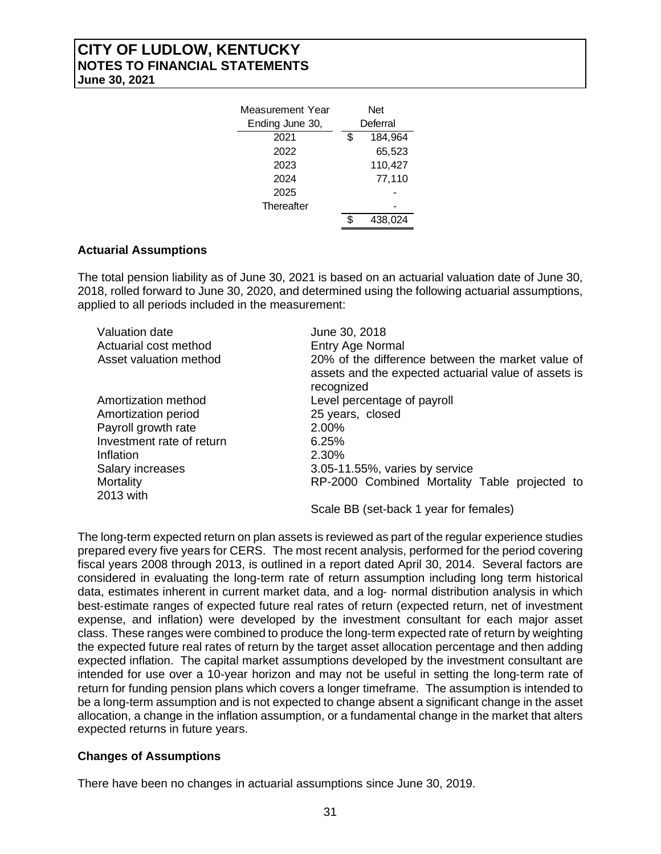| Measurement Year<br>Ending June 30, | Net<br>Deferral |         |  |
|-------------------------------------|-----------------|---------|--|
|                                     |                 |         |  |
| 2021                                | \$              | 184.964 |  |
| 2022                                |                 | 65,523  |  |
| 2023                                |                 | 110,427 |  |
| 2024                                |                 | 77,110  |  |
| 2025                                |                 |         |  |
| Thereafter                          |                 |         |  |
|                                     |                 | 438.024 |  |

### **Actuarial Assumptions**

The total pension liability as of June 30, 2021 is based on an actuarial valuation date of June 30, 2018, rolled forward to June 30, 2020, and determined using the following actuarial assumptions, applied to all periods included in the measurement:

| June 30, 2018                                                                                                           |
|-------------------------------------------------------------------------------------------------------------------------|
| Entry Age Normal                                                                                                        |
| 20% of the difference between the market value of<br>assets and the expected actuarial value of assets is<br>recognized |
| Level percentage of payroll                                                                                             |
| 25 years, closed                                                                                                        |
| 2.00%                                                                                                                   |
| 6.25%                                                                                                                   |
| 2.30%                                                                                                                   |
| 3.05-11.55%, varies by service                                                                                          |
| RP-2000 Combined Mortality Table projected to                                                                           |
|                                                                                                                         |

Scale BB (set-back 1 year for females)

The long-term expected return on plan assets is reviewed as part of the regular experience studies prepared every five years for CERS. The most recent analysis, performed for the period covering fiscal years 2008 through 2013, is outlined in a report dated April 30, 2014. Several factors are considered in evaluating the long‐term rate of return assumption including long term historical data, estimates inherent in current market data, and a log‐ normal distribution analysis in which best-estimate ranges of expected future real rates of return (expected return, net of investment expense, and inflation) were developed by the investment consultant for each major asset class. These ranges were combined to produce the long‐term expected rate of return by weighting the expected future real rates of return by the target asset allocation percentage and then adding expected inflation. The capital market assumptions developed by the investment consultant are intended for use over a 10‐year horizon and may not be useful in setting the long‐term rate of return for funding pension plans which covers a longer timeframe. The assumption is intended to be a long-term assumption and is not expected to change absent a significant change in the asset allocation, a change in the inflation assumption, or a fundamental change in the market that alters expected returns in future years.

## **Changes of Assumptions**

There have been no changes in actuarial assumptions since June 30, 2019.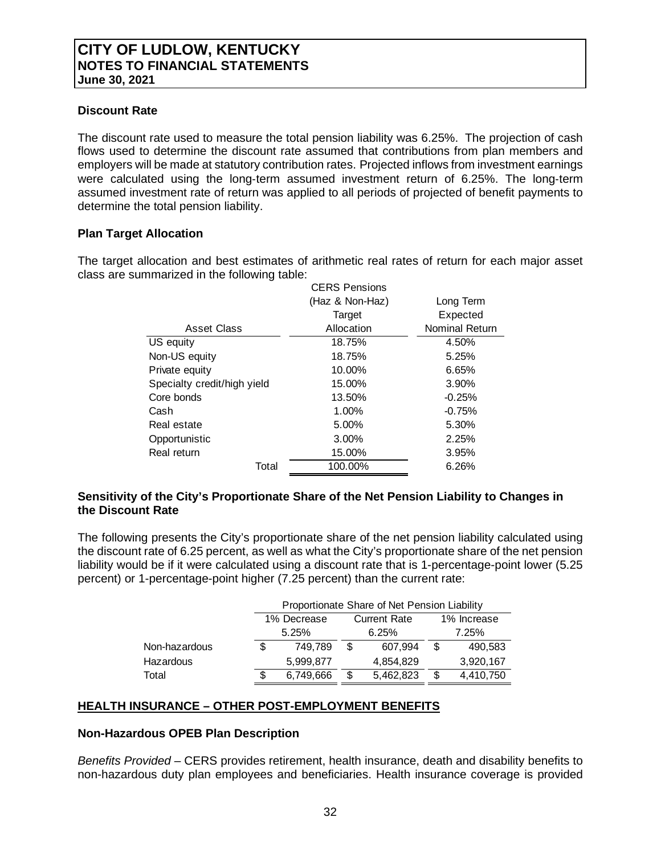## **Discount Rate**

The discount rate used to measure the total pension liability was 6.25%. The projection of cash flows used to determine the discount rate assumed that contributions from plan members and employers will be made at statutory contribution rates. Projected inflows from investment earnings were calculated using the long-term assumed investment return of 6.25%. The long-term assumed investment rate of return was applied to all periods of projected of benefit payments to determine the total pension liability.

## **Plan Target Allocation**

The target allocation and best estimates of arithmetic real rates of return for each major asset class are summarized in the following table:

|                             | <b>CERS Pensions</b> |                       |  |
|-----------------------------|----------------------|-----------------------|--|
|                             | (Haz & Non-Haz)      | Long Term             |  |
|                             | Target               | Expected              |  |
| Asset Class                 | Allocation           | <b>Nominal Return</b> |  |
| US equity                   | 18.75%               | 4.50%                 |  |
| Non-US equity               | 18.75%               | 5.25%                 |  |
| Private equity              | 10.00%               | 6.65%                 |  |
| Specialty credit/high yield | 15.00%               | 3.90%                 |  |
| Core bonds                  | 13.50%               | $-0.25%$              |  |
| Cash                        | 1.00%                | $-0.75%$              |  |
| Real estate                 | 5.00%                | 5.30%                 |  |
| Opportunistic               | 3.00%                | 2.25%                 |  |
| Real return                 | 15.00%               | 3.95%                 |  |
| Total                       | 100.00%              | 6.26%                 |  |
|                             |                      |                       |  |

### **Sensitivity of the City's Proportionate Share of the Net Pension Liability to Changes in the Discount Rate**

The following presents the City's proportionate share of the net pension liability calculated using the discount rate of 6.25 percent, as well as what the City's proportionate share of the net pension liability would be if it were calculated using a discount rate that is 1-percentage-point lower (5.25 percent) or 1-percentage-point higher (7.25 percent) than the current rate:

|               | Proportionate Share of Net Pension Liability |           |                     |           |             |           |
|---------------|----------------------------------------------|-----------|---------------------|-----------|-------------|-----------|
|               | 1% Decrease                                  |           | <b>Current Rate</b> |           | 1% Increase |           |
|               | 5.25%                                        |           | 6.25%               |           | 7.25%       |           |
| Non-hazardous | S                                            | 749.789   | S                   | 607,994   | \$.         | 490,583   |
| Hazardous     |                                              | 5.999.877 |                     | 4,854,829 |             | 3,920,167 |
| Total         | \$                                           | 6,749,666 |                     | 5,462,823 | \$          | 4,410,750 |

## **HEALTH INSURANCE – OTHER POST-EMPLOYMENT BENEFITS**

## **Non-Hazardous OPEB Plan Description**

*Benefits Provided* – CERS provides retirement, health insurance, death and disability benefits to non-hazardous duty plan employees and beneficiaries. Health insurance coverage is provided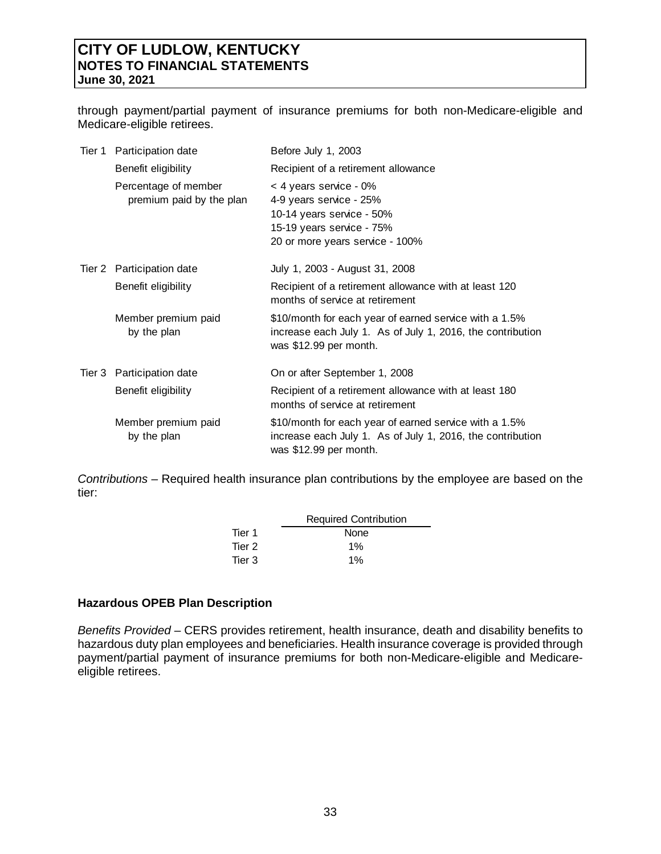through payment/partial payment of insurance premiums for both non-Medicare-eligible and Medicare-eligible retirees.

| Tier 1 Participation date                        | Before July 1, 2003                                                                                                                            |
|--------------------------------------------------|------------------------------------------------------------------------------------------------------------------------------------------------|
| Benefit eligibility                              | Recipient of a retirement allowance                                                                                                            |
| Percentage of member<br>premium paid by the plan | < 4 years service - 0%<br>4-9 years service - 25%<br>10-14 years service - 50%<br>15-19 years service - 75%<br>20 or more years service - 100% |
| Tier 2 Participation date                        | July 1, 2003 - August 31, 2008                                                                                                                 |
| Benefit eligibility                              | Recipient of a retirement allowance with at least 120<br>months of service at retirement                                                       |
| Member premium paid<br>by the plan               | \$10/month for each year of earned service with a 1.5%<br>increase each July 1. As of July 1, 2016, the contribution<br>was \$12.99 per month. |
| Tier 3 Participation date                        | On or after September 1, 2008                                                                                                                  |
| Benefit eligibility                              | Recipient of a retirement allowance with at least 180<br>months of service at retirement                                                       |
| Member premium paid<br>by the plan               | \$10/month for each year of earned service with a 1.5%<br>increase each July 1. As of July 1, 2016, the contribution<br>was \$12.99 per month. |

*Contributions –* Required health insurance plan contributions by the employee are based on the tier:

|        | <b>Required Contribution</b> |
|--------|------------------------------|
| Tier 1 | None                         |
| Tier 2 | $1\%$                        |
| Tier 3 | $1\%$                        |

#### **Hazardous OPEB Plan Description**

*Benefits Provided* – CERS provides retirement, health insurance, death and disability benefits to hazardous duty plan employees and beneficiaries. Health insurance coverage is provided through payment/partial payment of insurance premiums for both non-Medicare-eligible and Medicareeligible retirees.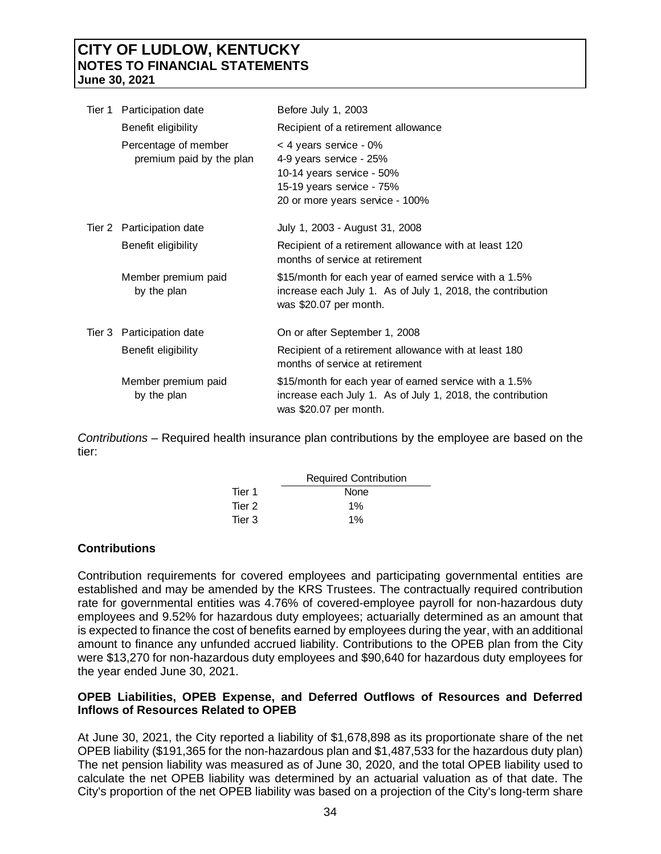| Tier 1 | Participation date                               | Before July 1, 2003                                                                                                                            |
|--------|--------------------------------------------------|------------------------------------------------------------------------------------------------------------------------------------------------|
|        | Benefit eligibility                              | Recipient of a retirement allowance                                                                                                            |
|        | Percentage of member<br>premium paid by the plan | < 4 years service - 0%<br>4-9 years service - 25%<br>10-14 years service - 50%<br>15-19 years service - 75%<br>20 or more years service - 100% |
|        | Tier 2 Participation date                        | July 1, 2003 - August 31, 2008                                                                                                                 |
|        | Benefit eligibility                              | Recipient of a retirement allowance with at least 120<br>months of service at retirement                                                       |
|        | Member premium paid<br>by the plan               | \$15/month for each year of earned service with a 1.5%<br>increase each July 1. As of July 1, 2018, the contribution<br>was \$20.07 per month. |
|        | Tier 3 Participation date                        | On or after September 1, 2008                                                                                                                  |
|        | Benefit eligibility                              | Recipient of a retirement allowance with at least 180<br>months of service at retirement                                                       |
|        | Member premium paid<br>by the plan               | \$15/month for each year of earned service with a 1.5%<br>increase each July 1. As of July 1, 2018, the contribution<br>was \$20.07 per month. |

*Contributions –* Required health insurance plan contributions by the employee are based on the tier:

|        | <b>Required Contribution</b> |
|--------|------------------------------|
| Tier 1 | None                         |
| Tier 2 | $1\%$                        |
| Tier 3 | 1%                           |

## **Contributions**

Contribution requirements for covered employees and participating governmental entities are established and may be amended by the KRS Trustees. The contractually required contribution rate for governmental entities was 4.76% of covered-employee payroll for non-hazardous duty employees and 9.52% for hazardous duty employees; actuarially determined as an amount that is expected to finance the cost of benefits earned by employees during the year, with an additional amount to finance any unfunded accrued liability. Contributions to the OPEB plan from the City were \$13,270 for non-hazardous duty employees and \$90,640 for hazardous duty employees for the year ended June 30, 2021.

### **OPEB Liabilities, OPEB Expense, and Deferred Outflows of Resources and Deferred Inflows of Resources Related to OPEB**

At June 30, 2021, the City reported a liability of \$1,678,898 as its proportionate share of the net OPEB liability (\$191,365 for the non-hazardous plan and \$1,487,533 for the hazardous duty plan) The net pension liability was measured as of June 30, 2020, and the total OPEB liability used to calculate the net OPEB liability was determined by an actuarial valuation as of that date. The City's proportion of the net OPEB liability was based on a projection of the City's long-term share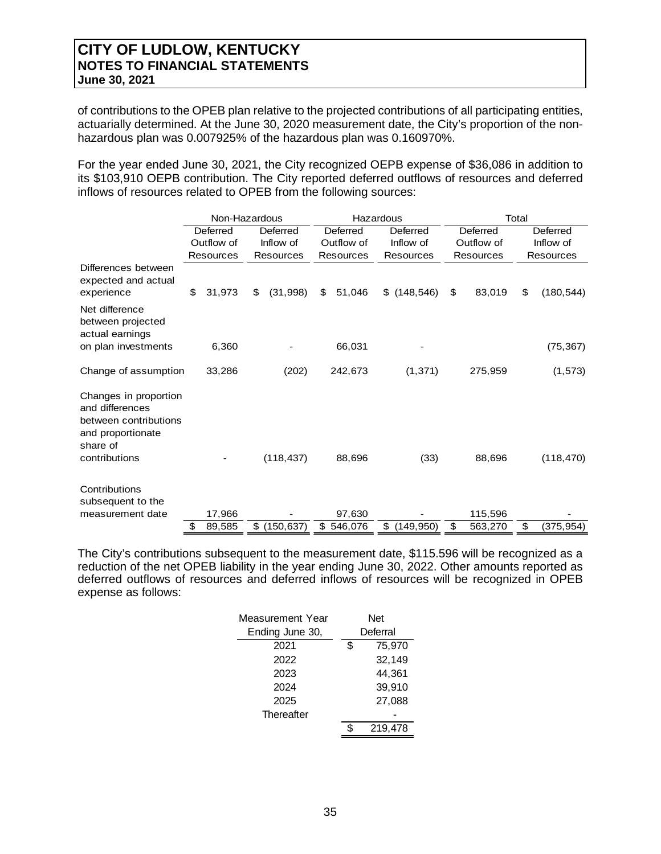of contributions to the OPEB plan relative to the projected contributions of all participating entities, actuarially determined. At the June 30, 2020 measurement date, the City's proportion of the nonhazardous plan was 0.007925% of the hazardous plan was 0.160970%.

For the year ended June 30, 2021, the City recognized OEPB expense of \$36,086 in addition to its \$103,910 OEPB contribution. The City reported deferred outflows of resources and deferred inflows of resources related to OPEB from the following sources:

|                                                                                                                     |           | Non-Hazardous |           |            | Hazardous    |                  | Total |            |           |            |  |  |  |
|---------------------------------------------------------------------------------------------------------------------|-----------|---------------|-----------|------------|--------------|------------------|-------|------------|-----------|------------|--|--|--|
|                                                                                                                     |           | Deferred      |           | Deferred   | Deferred     | Deferred         |       | Deferred   |           | Deferred   |  |  |  |
|                                                                                                                     |           | Outflow of    |           | Inflow of  | Outflow of   | Inflow of        |       | Outflow of |           | Inflow of  |  |  |  |
|                                                                                                                     | Resources |               | Resources |            | Resources    | Resources        |       | Resources  | Resources |            |  |  |  |
| Differences between<br>expected and actual<br>experience                                                            | \$        | 31,973        | \$        | (31, 998)  | \$<br>51,046 | \$<br>(148, 546) | \$    | 83,019     | \$        | (180, 544) |  |  |  |
| Net difference<br>between projected<br>actual earnings                                                              |           |               |           |            |              |                  |       |            |           |            |  |  |  |
| on plan investments                                                                                                 |           | 6,360         |           |            | 66,031       |                  |       |            |           | (75, 367)  |  |  |  |
| Change of assumption                                                                                                |           | 33,286        |           | (202)      | 242,673      | (1, 371)         |       | 275,959    |           | (1, 573)   |  |  |  |
| Changes in proportion<br>and differences<br>between contributions<br>and proportionate<br>share of<br>contributions |           |               |           | (118, 437) | 88,696       | (33)             |       | 88,696     |           | (118, 470) |  |  |  |
| Contributions<br>subsequent to the                                                                                  |           |               |           |            |              |                  |       |            |           |            |  |  |  |
| measurement date                                                                                                    |           | 17,966        |           |            | 97,630       |                  |       | 115,596    |           |            |  |  |  |
|                                                                                                                     | \$        | 89,585        | \$        | (150, 637) | \$546,076    | \$<br>(149, 950) | \$    | 563,270    | \$        | (375,954)  |  |  |  |

The City's contributions subsequent to the measurement date, \$115.596 will be recognized as a reduction of the net OPEB liability in the year ending June 30, 2022. Other amounts reported as deferred outflows of resources and deferred inflows of resources will be recognized in OPEB expense as follows:

| Measurement Year | Net          |
|------------------|--------------|
| Ending June 30,  | Deferral     |
| 2021             | \$<br>75,970 |
| 2022             | 32,149       |
| 2023             | 44,361       |
| 2024             | 39,910       |
| 2025             | 27.088       |
| Thereafter       |              |
|                  | 219,478      |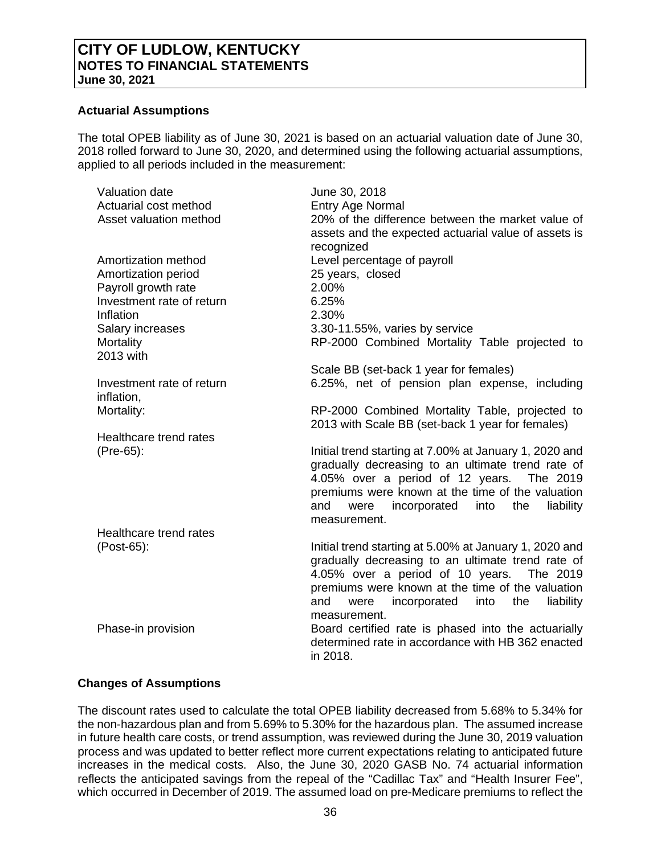### **Actuarial Assumptions**

The total OPEB liability as of June 30, 2021 is based on an actuarial valuation date of June 30, 2018 rolled forward to June 30, 2020, and determined using the following actuarial assumptions, applied to all periods included in the measurement:

| <b>Valuation date</b>     | June 30, 2018                                                                                            |
|---------------------------|----------------------------------------------------------------------------------------------------------|
| Actuarial cost method     | Entry Age Normal                                                                                         |
| Asset valuation method    | 20% of the difference between the market value of                                                        |
|                           | assets and the expected actuarial value of assets is                                                     |
|                           | recognized                                                                                               |
| Amortization method       | Level percentage of payroll                                                                              |
| Amortization period       | 25 years, closed                                                                                         |
| Payroll growth rate       | 2.00%                                                                                                    |
| Investment rate of return | 6.25%                                                                                                    |
| Inflation                 | 2.30%                                                                                                    |
| Salary increases          | 3.30-11.55%, varies by service                                                                           |
| Mortality                 | RP-2000 Combined Mortality Table projected to                                                            |
| 2013 with                 |                                                                                                          |
|                           | Scale BB (set-back 1 year for females)                                                                   |
| Investment rate of return | 6.25%, net of pension plan expense, including                                                            |
| inflation,                |                                                                                                          |
| Mortality:                | RP-2000 Combined Mortality Table, projected to                                                           |
|                           | 2013 with Scale BB (set-back 1 year for females)                                                         |
| Healthcare trend rates    |                                                                                                          |
| (Pre-65):                 | Initial trend starting at 7.00% at January 1, 2020 and                                                   |
|                           | gradually decreasing to an ultimate trend rate of                                                        |
|                           | 4.05% over a period of 12 years. The 2019                                                                |
|                           | premiums were known at the time of the valuation                                                         |
|                           | incorporated<br>the<br>liability<br>and<br>were<br>into                                                  |
|                           | measurement.                                                                                             |
| Healthcare trend rates    |                                                                                                          |
| (Post-65):                | Initial trend starting at 5.00% at January 1, 2020 and                                                   |
|                           | gradually decreasing to an ultimate trend rate of                                                        |
|                           | 4.05% over a period of 10 years.<br>The 2019                                                             |
|                           | premiums were known at the time of the valuation                                                         |
|                           | liability<br>and<br>incorporated into<br>the<br>were                                                     |
|                           | measurement.                                                                                             |
| Phase-in provision        | Board certified rate is phased into the actuarially<br>determined rate in accordance with HB 362 enacted |
|                           | in 2018.                                                                                                 |
|                           |                                                                                                          |

## **Changes of Assumptions**

The discount rates used to calculate the total OPEB liability decreased from 5.68% to 5.34% for the non-hazardous plan and from 5.69% to 5.30% for the hazardous plan. The assumed increase in future health care costs, or trend assumption, was reviewed during the June 30, 2019 valuation process and was updated to better reflect more current expectations relating to anticipated future increases in the medical costs. Also, the June 30, 2020 GASB No. 74 actuarial information reflects the anticipated savings from the repeal of the "Cadillac Tax" and "Health Insurer Fee", which occurred in December of 2019. The assumed load on pre-Medicare premiums to reflect the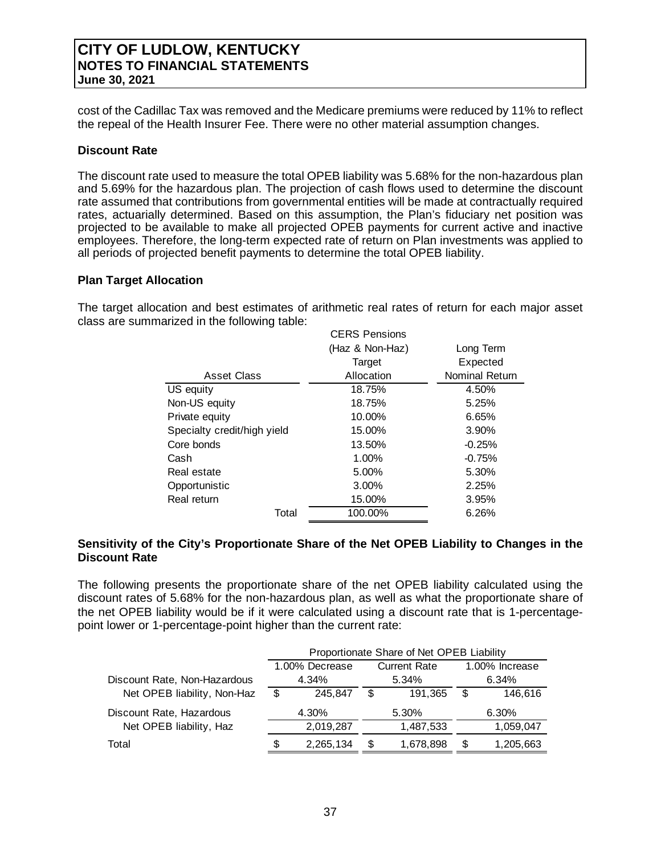cost of the Cadillac Tax was removed and the Medicare premiums were reduced by 11% to reflect the repeal of the Health Insurer Fee. There were no other material assumption changes.

### **Discount Rate**

The discount rate used to measure the total OPEB liability was 5.68% for the non-hazardous plan and 5.69% for the hazardous plan. The projection of cash flows used to determine the discount rate assumed that contributions from governmental entities will be made at contractually required rates, actuarially determined. Based on this assumption, the Plan's fiduciary net position was projected to be available to make all projected OPEB payments for current active and inactive employees. Therefore, the long-term expected rate of return on Plan investments was applied to all periods of projected benefit payments to determine the total OPEB liability.

#### **Plan Target Allocation**

The target allocation and best estimates of arithmetic real rates of return for each major asset class are summarized in the following table:

| <b>CERS Pensions</b> |                |
|----------------------|----------------|
| (Haz & Non-Haz)      | Long Term      |
| Target               | Expected       |
| Allocation           | Nominal Return |
| 18.75%               | 4.50%          |
| 18.75%               | 5.25%          |
| 10.00%               | 6.65%          |
| 15.00%               | 3.90%          |
| 13.50%               | $-0.25%$       |
| 1.00%                | $-0.75%$       |
| 5.00%                | 5.30%          |
| 3.00%                | 2.25%          |
| 15.00%               | 3.95%          |
| 100.00%              | 6.26%          |
|                      |                |

### **Sensitivity of the City's Proportionate Share of the Net OPEB Liability to Changes in the Discount Rate**

The following presents the proportionate share of the net OPEB liability calculated using the discount rates of 5.68% for the non-hazardous plan, as well as what the proportionate share of the net OPEB liability would be if it were calculated using a discount rate that is 1-percentagepoint lower or 1-percentage-point higher than the current rate:

|                              |   |                | Proportionate Share of Net OPEB Liability |                     |       |                |  |  |  |
|------------------------------|---|----------------|-------------------------------------------|---------------------|-------|----------------|--|--|--|
|                              |   | 1.00% Decrease |                                           | <b>Current Rate</b> |       | 1.00% Increase |  |  |  |
| Discount Rate, Non-Hazardous |   | 4.34%          |                                           | 5.34%               | 6.34% |                |  |  |  |
| Net OPEB liability, Non-Haz  | S | 245.847        | S                                         | 191.365             | \$    | 146.616        |  |  |  |
| Discount Rate, Hazardous     |   | 4.30%          |                                           | 5.30%               |       | 6.30%          |  |  |  |
| Net OPEB liability, Haz      |   | 2,019,287      |                                           | 1,487,533           |       | 1,059,047      |  |  |  |
| Total                        |   | 2,265,134      | \$.                                       | 1,678,898           | \$    | 1,205,663      |  |  |  |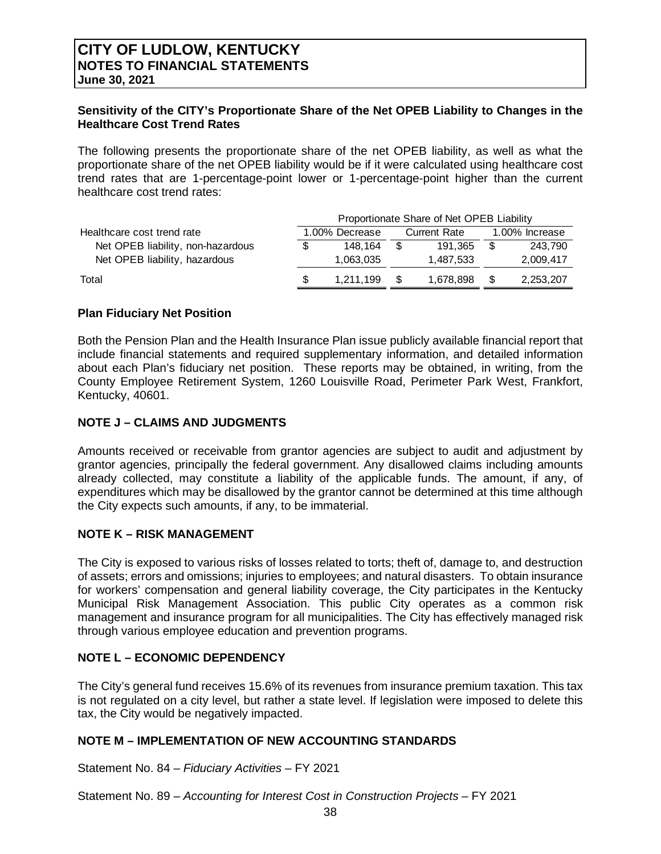## **Sensitivity of the CITY's Proportionate Share of the Net OPEB Liability to Changes in the Healthcare Cost Trend Rates**

The following presents the proportionate share of the net OPEB liability, as well as what the proportionate share of the net OPEB liability would be if it were calculated using healthcare cost trend rates that are 1-percentage-point lower or 1-percentage-point higher than the current healthcare cost trend rates:

|                                   | Proportionate Share of Net OPEB Liability |                |      |                     |                |           |  |  |  |  |  |  |  |
|-----------------------------------|-------------------------------------------|----------------|------|---------------------|----------------|-----------|--|--|--|--|--|--|--|
| Healthcare cost trend rate        |                                           | 1.00% Decrease |      | <b>Current Rate</b> | 1.00% Increase |           |  |  |  |  |  |  |  |
| Net OPEB liability, non-hazardous | \$                                        | 148.164        | - \$ | 191.365             |                | 243.790   |  |  |  |  |  |  |  |
| Net OPEB liability, hazardous     |                                           | 1,063,035      |      | 1.487.533           |                | 2,009,417 |  |  |  |  |  |  |  |
| Total                             | \$.                                       | 1.211.199      | -S   | 1.678.898           | -S             | 2,253,207 |  |  |  |  |  |  |  |

### **Plan Fiduciary Net Position**

Both the Pension Plan and the Health Insurance Plan issue publicly available financial report that include financial statements and required supplementary information, and detailed information about each Plan's fiduciary net position. These reports may be obtained, in writing, from the County Employee Retirement System, 1260 Louisville Road, Perimeter Park West, Frankfort, Kentucky, 40601.

## **NOTE J – CLAIMS AND JUDGMENTS**

Amounts received or receivable from grantor agencies are subject to audit and adjustment by grantor agencies, principally the federal government. Any disallowed claims including amounts already collected, may constitute a liability of the applicable funds. The amount, if any, of expenditures which may be disallowed by the grantor cannot be determined at this time although the City expects such amounts, if any, to be immaterial.

## **NOTE K – RISK MANAGEMENT**

The City is exposed to various risks of losses related to torts; theft of, damage to, and destruction of assets; errors and omissions; injuries to employees; and natural disasters. To obtain insurance for workers' compensation and general liability coverage, the City participates in the Kentucky Municipal Risk Management Association. This public City operates as a common risk management and insurance program for all municipalities. The City has effectively managed risk through various employee education and prevention programs.

## **NOTE L – ECONOMIC DEPENDENCY**

The City's general fund receives 15.6% of its revenues from insurance premium taxation. This tax is not regulated on a city level, but rather a state level. If legislation were imposed to delete this tax, the City would be negatively impacted.

## **NOTE M – IMPLEMENTATION OF NEW ACCOUNTING STANDARDS**

Statement No. 84 – *Fiduciary Activities –* FY 2021

Statement No. 89 – *Accounting for Interest Cost in Construction Projects –* FY 2021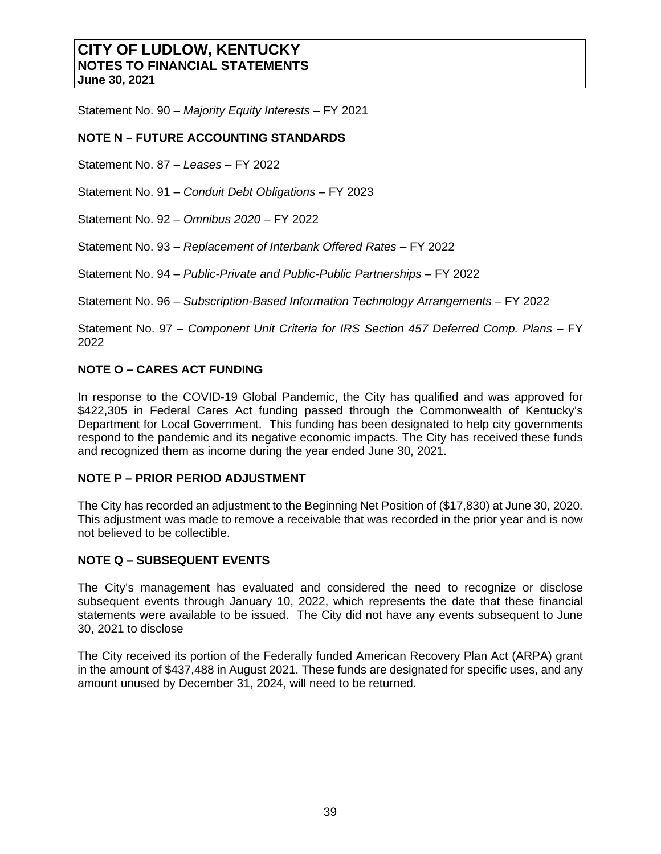Statement No. 90 – *Majority Equity Interests* – FY 2021

## **NOTE N – FUTURE ACCOUNTING STANDARDS**

Statement No. 87 – *Leases –* FY 2022

Statement No. 91 – *Conduit Debt Obligations* – FY 2023

Statement No. 92 – *Omnibus 2020* – FY 2022

Statement No. 93 – *Replacement of Interbank Offered Rates* – FY 2022

Statement No. 94 – *Public-Private and Public-Public Partnerships* – FY 2022

Statement No. 96 – *Subscription-Based Information Technology Arrangements* – FY 2022

Statement No. 97 – *Component Unit Criteria for IRS Section 457 Deferred Comp. Plans – FY* 2022

## **NOTE O – CARES ACT FUNDING**

In response to the COVID-19 Global Pandemic, the City has qualified and was approved for \$422,305 in Federal Cares Act funding passed through the Commonwealth of Kentucky's Department for Local Government. This funding has been designated to help city governments respond to the pandemic and its negative economic impacts. The City has received these funds and recognized them as income during the year ended June 30, 2021.

#### **NOTE P – PRIOR PERIOD ADJUSTMENT**

The City has recorded an adjustment to the Beginning Net Position of (\$17,830) at June 30, 2020. This adjustment was made to remove a receivable that was recorded in the prior year and is now not believed to be collectible.

## **NOTE Q – SUBSEQUENT EVENTS**

The City's management has evaluated and considered the need to recognize or disclose subsequent events through January 10, 2022, which represents the date that these financial statements were available to be issued. The City did not have any events subsequent to June 30, 2021 to disclose

The City received its portion of the Federally funded American Recovery Plan Act (ARPA) grant in the amount of \$437,488 in August 2021. These funds are designated for specific uses, and any amount unused by December 31, 2024, will need to be returned.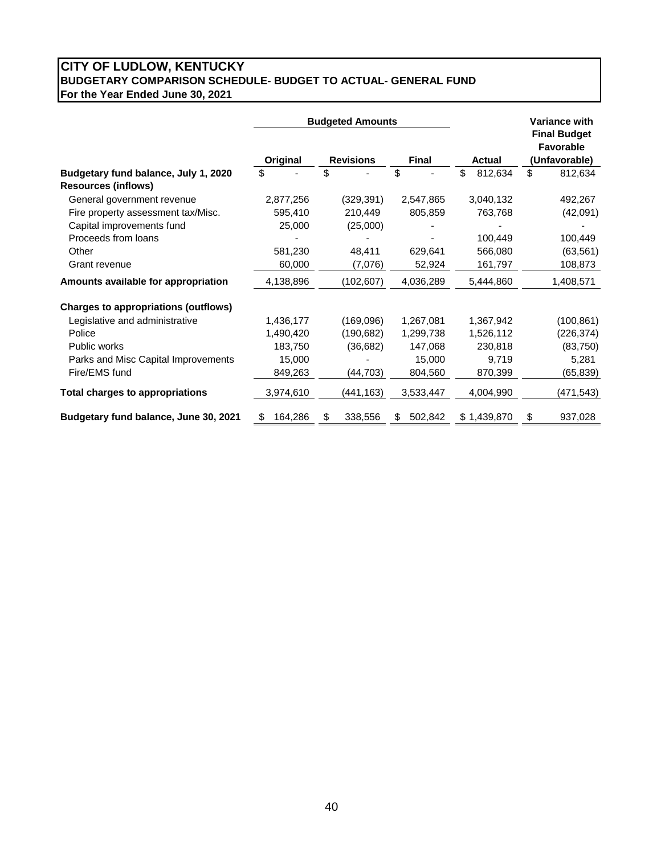## **CITY OF LUDLOW, KENTUCKY BUDGETARY COMPARISON SCHEDULE- BUDGET TO ACTUAL- GENERAL FUND For the Year Ended June 30, 2021**

|                                                                    |               | <b>Budgeted Amounts</b> |               |               | <b>Variance with</b><br><b>Final Budget</b> |
|--------------------------------------------------------------------|---------------|-------------------------|---------------|---------------|---------------------------------------------|
|                                                                    | Original      | <b>Revisions</b>        | <b>Final</b>  | <b>Actual</b> | Favorable<br>(Unfavorable)                  |
| Budgetary fund balance, July 1, 2020<br><b>Resources (inflows)</b> | \$            | \$                      | \$            | \$<br>812,634 | \$<br>812,634                               |
| General government revenue                                         | 2,877,256     | (329, 391)              | 2,547,865     | 3,040,132     | 492,267                                     |
| Fire property assessment tax/Misc.                                 | 595,410       | 210,449                 | 805,859       | 763,768       | (42,091)                                    |
| Capital improvements fund                                          | 25,000        | (25,000)                |               |               |                                             |
| Proceeds from loans                                                |               |                         |               | 100,449       | 100,449                                     |
| Other                                                              | 581,230       | 48,411                  | 629,641       | 566,080       | (63, 561)                                   |
| Grant revenue                                                      | 60,000        | (7,076)                 | 52,924        | 161,797       | 108,873                                     |
| Amounts available for appropriation                                | 4,138,896     | (102, 607)              | 4,036,289     | 5,444,860     | 1,408,571                                   |
| <b>Charges to appropriations (outflows)</b>                        |               |                         |               |               |                                             |
| Legislative and administrative                                     | 1,436,177     | (169,096)               | 1,267,081     | 1,367,942     | (100, 861)                                  |
| Police                                                             | 1,490,420     | (190, 682)              | 1,299,738     | 1,526,112     | (226, 374)                                  |
| Public works                                                       | 183,750       | (36, 682)               | 147,068       | 230,818       | (83, 750)                                   |
| Parks and Misc Capital Improvements                                | 15,000        |                         | 15,000        | 9,719         | 5,281                                       |
| Fire/EMS fund                                                      | 849,263       | (44, 703)               | 804,560       | 870,399       | (65, 839)                                   |
| <b>Total charges to appropriations</b>                             | 3,974,610     | (441,163)               | 3,533,447     | 4,004,990     | (471, 543)                                  |
| Budgetary fund balance, June 30, 2021                              | 164,286<br>\$ | \$<br>338,556           | 502,842<br>\$ | \$1,439,870   | \$<br>937,028                               |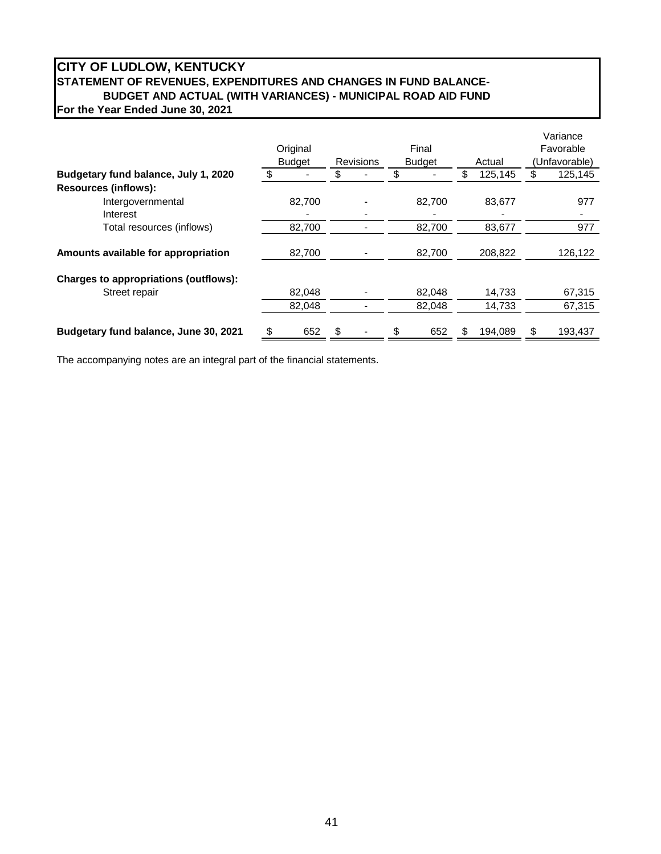## **CITY OF LUDLOW, KENTUCKY STATEMENT OF REVENUES, EXPENDITURES AND CHANGES IN FUND BALANCE-BUDGET AND ACTUAL (WITH VARIANCES) - MUNICIPAL ROAD AID FUND For the Year Ended June 30, 2021**

|                                       |               |                  |    |               |               |               | Variance  |  |
|---------------------------------------|---------------|------------------|----|---------------|---------------|---------------|-----------|--|
|                                       | Original      |                  |    | Final         |               |               | Favorable |  |
|                                       | <b>Budget</b> | <b>Revisions</b> |    | <b>Budget</b> | Actual        | (Unfavorable) |           |  |
| Budgetary fund balance, July 1, 2020  | \$            |                  | \$ |               | 125,145       | \$.           | 125,145   |  |
| <b>Resources (inflows):</b>           |               |                  |    |               |               |               |           |  |
| Intergovernmental                     | 82,700        |                  |    | 82,700        | 83,677        |               | 977       |  |
| Interest                              |               |                  |    |               |               |               |           |  |
| Total resources (inflows)             | 82,700        |                  |    | 82.700        | 83,677        |               | 977       |  |
|                                       |               |                  |    |               |               |               |           |  |
| Amounts available for appropriation   | 82,700        |                  |    | 82,700        | 208,822       |               | 126,122   |  |
| Charges to appropriations (outflows): |               |                  |    |               |               |               |           |  |
| Street repair                         | 82,048        |                  |    | 82,048        | 14,733        |               | 67,315    |  |
|                                       | 82,048        |                  |    | 82,048        | 14,733        |               | 67,315    |  |
| Budgetary fund balance, June 30, 2021 | \$<br>652     | \$               | S  | 652           | \$<br>194.089 | S             | 193,437   |  |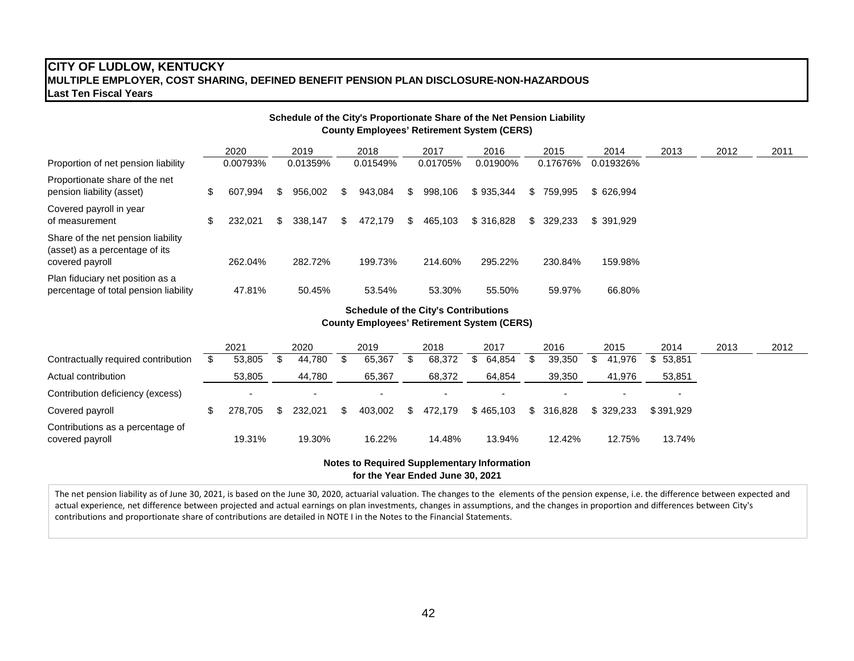## **CITY OF LUDLOW, KENTUCKY MULTIPLE EMPLOYER, COST SHARING, DEFINED BENEFIT PENSION PLAN DISCLOSURE-NON-HAZARDOUS Last Ten Fiscal Years**

| Schedule of the City's Proportionate Share of the Net Pension Liability<br><b>County Employees' Retirement System (CERS)</b> |     |          |     |          |     |          |     |          |           |  |            |           |      |      |  |      |  |
|------------------------------------------------------------------------------------------------------------------------------|-----|----------|-----|----------|-----|----------|-----|----------|-----------|--|------------|-----------|------|------|--|------|--|
|                                                                                                                              |     | 2020     |     | 2019     |     | 2018     |     | 2017     | 2016      |  | 2015       | 2014      | 2013 | 2012 |  | 2011 |  |
| Proportion of net pension liability                                                                                          |     | 0.00793% |     | 0.01359% |     | 0.01549% |     | 0.01705% | 0.01900%  |  | 0.17676%   | 0.019326% |      |      |  |      |  |
| Proportionate share of the net<br>pension liability (asset)                                                                  | \$. | 607.994  | \$. | 956,002  | \$. | 943,084  | \$. | 998,106  | \$935.344 |  | \$759,995  | \$626,994 |      |      |  |      |  |
| Covered payroll in year<br>of measurement                                                                                    | \$. | 232.021  | \$. | 338.147  | \$. | 472.179  | S.  | 465,103  | \$316.828 |  | \$ 329,233 | \$391.929 |      |      |  |      |  |
| Share of the net pension liability<br>(asset) as a percentage of its<br>covered payroll                                      |     | 262.04%  |     | 282.72%  |     | 199.73%  |     | 214.60%  | 295.22%   |  | 230.84%    | 159.98%   |      |      |  |      |  |
| Plan fiduciary net position as a<br>percentage of total pension liability                                                    |     | 47.81%   |     | 50.45%   |     | 53.54%   |     | 53.30%   | 55.50%    |  | 59.97%     | 66.80%    |      |      |  |      |  |

#### **Schedule of the City's Contributions County Employees' Retirement System (CERS)**

|                                                     | 2021 |         | 2020    |  | 2019    |  | 2018    |  | 2017      |  | 2016    | 2015 |           | 2014      | 2013 | 2012 |
|-----------------------------------------------------|------|---------|---------|--|---------|--|---------|--|-----------|--|---------|------|-----------|-----------|------|------|
| Contractually required contribution                 |      | 53,805  | 44.780  |  | 65.367  |  | 68,372  |  | 64.854    |  | 39,350  |      | 41.976    | \$53,851  |      |      |
| Actual contribution                                 |      | 53,805  | 44,780  |  | 65,367  |  | 68,372  |  | 64,854    |  | 39,350  |      | 41,976    | 53,851    |      |      |
| Contribution deficiency (excess)                    |      |         |         |  |         |  |         |  |           |  |         |      |           |           |      |      |
| Covered payroll                                     |      | 278.705 | 232.021 |  | 403.002 |  | 472.179 |  | \$465.103 |  | 316.828 |      | \$329.233 | \$391.929 |      |      |
| Contributions as a percentage of<br>covered payroll |      | 19.31%  | 19.30%  |  | 16.22%  |  | 14.48%  |  | 13.94%    |  | 12.42%  |      | 12.75%    | 13.74%    |      |      |

#### **for the Year Ended June 30, 2021 Notes to Required Supplementary Information**

The net pension liability as of June 30, 2021, is based on the June 30, 2020, actuarial valuation. The changes to the elements of the pension expense, i.e. the difference between expected and actual experience, net difference between projected and actual earnings on plan investments, changes in assumptions, and the changes in proportion and differences between City's contributions and proportionate share of contributions are detailed in NOTE I in the Notes to the Financial Statements.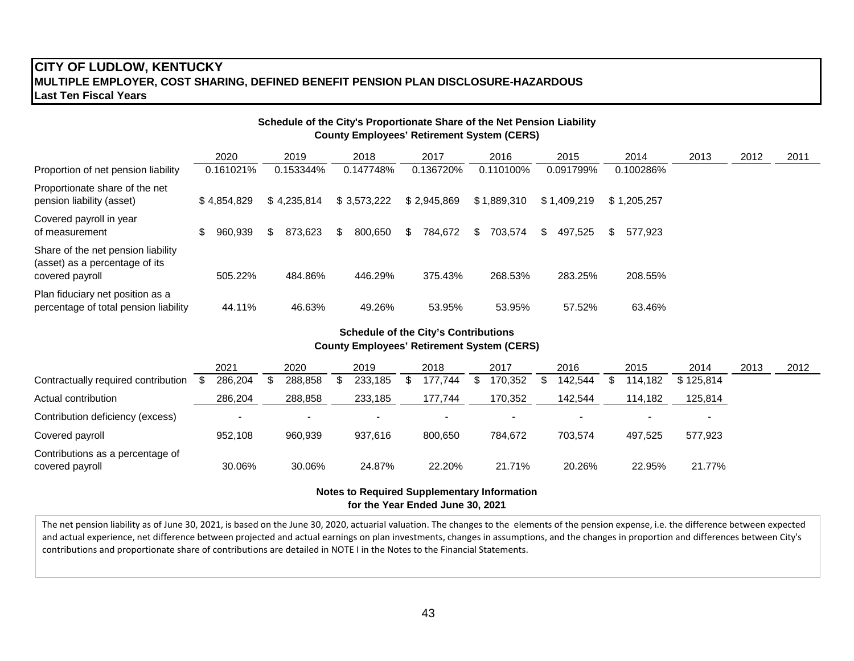## **CITY OF LUDLOW, KENTUCKY MULTIPLE EMPLOYER, COST SHARING, DEFINED BENEFIT PENSION PLAN DISCLOSURE-HAZARDOUS Last Ten Fiscal Years**

|                                                                                         | Schedule of the City's Proportionate Share of the Net Pension Liability<br><b>County Employees' Retirement System (CERS)</b> |                |               |               |                |               |                |      |      |      |  |  |  |  |  |
|-----------------------------------------------------------------------------------------|------------------------------------------------------------------------------------------------------------------------------|----------------|---------------|---------------|----------------|---------------|----------------|------|------|------|--|--|--|--|--|
|                                                                                         | 2020                                                                                                                         | 2019           | 2018          | 2017          | 2016           | 2015          | 2014           | 2013 | 2012 | 2011 |  |  |  |  |  |
| Proportion of net pension liability                                                     | 0.161021%                                                                                                                    | 0.153344%      | 0.147748%     | 0.136720%     | 0.110100%      | 0.091799%     | 0.100286%      |      |      |      |  |  |  |  |  |
| Proportionate share of the net<br>pension liability (asset)                             | \$4,854,829                                                                                                                  | \$4.235.814    | \$3,573,222   | \$2,945,869   | \$1,889,310    | \$1.409.219   | \$1,205,257    |      |      |      |  |  |  |  |  |
| Covered payroll in year<br>of measurement                                               | S.<br>960.939                                                                                                                | 873.623<br>\$. | 800,650<br>S. | 784,672<br>S. | 703.574<br>\$. | 497.525<br>S. | \$.<br>577.923 |      |      |      |  |  |  |  |  |
| Share of the net pension liability<br>(asset) as a percentage of its<br>covered payroll | 505.22%                                                                                                                      | 484.86%        | 446.29%       | 375.43%       | 268.53%        | 283.25%       | 208.55%        |      |      |      |  |  |  |  |  |
| Plan fiduciary net position as a<br>percentage of total pension liability               | 44.11%                                                                                                                       | 46.63%         | 49.26%        | 53.95%        | 53.95%         | 57.52%        | 63.46%         |      |      |      |  |  |  |  |  |

#### **Schedule of the City's Contributions County Employees' Retirement System (CERS)**

|                                                     | 2021     | 2020                     | 2019    | 2018                     | 2017    | 2016    | 2015    | 2014      | 2013 | 2012 |
|-----------------------------------------------------|----------|--------------------------|---------|--------------------------|---------|---------|---------|-----------|------|------|
| Contractually required contribution                 | 286,204  | 288.858                  | 233,185 | 177.744                  | 170,352 | 142.544 | 114.182 | \$125.814 |      |      |
| Actual contribution                                 | 286,204  | 288,858                  | 233,185 | 177,744                  | 170,352 | 142,544 | 114,182 | 125,814   |      |      |
| Contribution deficiency (excess)                    | <b>.</b> | $\overline{\phantom{0}}$ |         | $\overline{\phantom{0}}$ |         |         |         |           |      |      |
| Covered payroll                                     | 952,108  | 960,939                  | 937.616 | 800.650                  | 784,672 | 703.574 | 497.525 | 577.923   |      |      |
| Contributions as a percentage of<br>covered payroll | 30.06%   | 30.06%                   | 24.87%  | 22.20%                   | 21.71%  | 20.26%  | 22.95%  | 21.77%    |      |      |

#### **for the Year Ended June 30, 2021 Notes to Required Supplementary Information**

The net pension liability as of June 30, 2021, is based on the June 30, 2020, actuarial valuation. The changes to the elements of the pension expense, i.e. the difference between expected and actual experience, net difference between projected and actual earnings on plan investments, changes in assumptions, and the changes in proportion and differences between City's contributions and proportionate share of contributions are detailed in NOTE I in the Notes to the Financial Statements.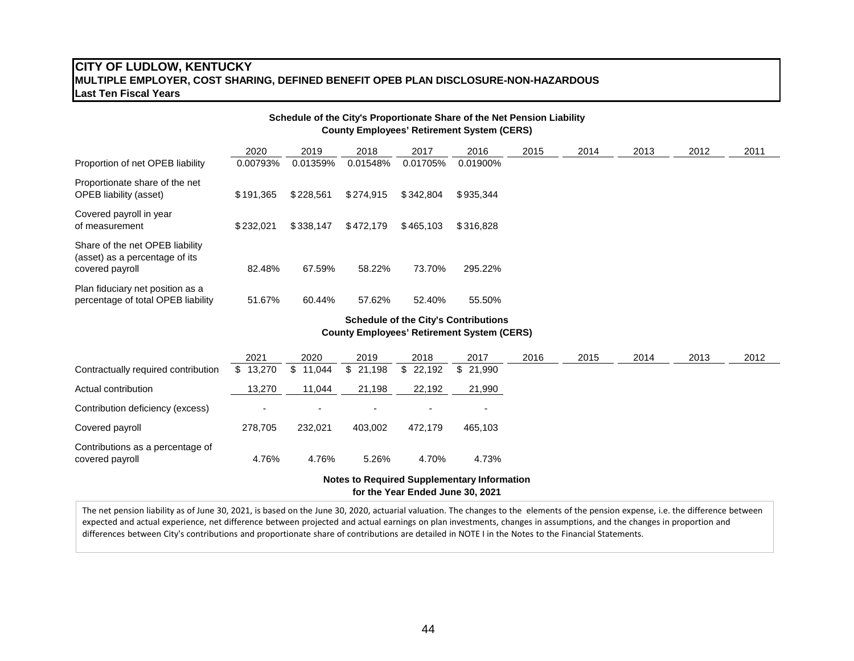#### **CITY OF LUDLOW, KENTUCKY MULTIPLE EMPLOYER, COST SHARING, DEFINED BENEFIT OPEB PLAN DISCLOSURE-NON-HAZARDOUS Last Ten Fiscal Years**

|                                                                                      |           |           |           |           | Schedule of the City's Proportionate Share of the Net Pension Liability<br><b>County Employees' Retirement System (CERS)</b> |      |      |      |      |      |
|--------------------------------------------------------------------------------------|-----------|-----------|-----------|-----------|------------------------------------------------------------------------------------------------------------------------------|------|------|------|------|------|
|                                                                                      | 2020      | 2019      | 2018      | 2017      | 2016                                                                                                                         | 2015 | 2014 | 2013 | 2012 | 2011 |
| Proportion of net OPEB liability                                                     | 0.00793%  | 0.01359%  | 0.01548%  | 0.01705%  | 0.01900%                                                                                                                     |      |      |      |      |      |
| Proportionate share of the net<br><b>OPEB</b> liability (asset)                      | \$191,365 | \$228,561 | \$274.915 | \$342.804 | \$935,344                                                                                                                    |      |      |      |      |      |
| Covered payroll in year<br>of measurement                                            | \$232.021 | \$338.147 | \$472.179 | \$465,103 | \$316.828                                                                                                                    |      |      |      |      |      |
| Share of the net OPEB liability<br>(asset) as a percentage of its<br>covered payroll | 82.48%    | 67.59%    | 58.22%    | 73.70%    | 295.22%                                                                                                                      |      |      |      |      |      |
| Plan fiduciary net position as a<br>percentage of total OPEB liability               | 51.67%    | 60.44%    | 57.62%    | 52.40%    | 55.50%                                                                                                                       |      |      |      |      |      |

#### **Schedule of the City's Contributions County Employees' Retirement System (CERS)**

|                                                     | 2021                     | 2020     | 2019     | 2018     | 2017     | 2016 | 2015 | 2014 | 2013 | 2012 |
|-----------------------------------------------------|--------------------------|----------|----------|----------|----------|------|------|------|------|------|
| Contractually required contribution                 | \$13,270                 | \$11,044 | \$21,198 | \$22,192 | \$21.990 |      |      |      |      |      |
| Actual contribution                                 | 13,270                   | 11,044   | 21,198   | 22,192   | 21,990   |      |      |      |      |      |
| Contribution deficiency (excess)                    | $\overline{\phantom{0}}$ |          |          |          |          |      |      |      |      |      |
| Covered payroll                                     | 278.705                  | 232.021  | 403.002  | 472.179  | 465.103  |      |      |      |      |      |
| Contributions as a percentage of<br>covered payroll | 4.76%                    | 4.76%    | 5.26%    | 4.70%    | 4.73%    |      |      |      |      |      |

**for the Year Ended June 30, 2021 Notes to Required Supplementary Information**

The net pension liability as of June 30, 2021, is based on the June 30, 2020, actuarial valuation. The changes to the elements of the pension expense, i.e. the difference between expected and actual experience, net difference between projected and actual earnings on plan investments, changes in assumptions, and the changes in proportion and differences between City's contributions and proportionate share of contributions are detailed in NOTE I in the Notes to the Financial Statements.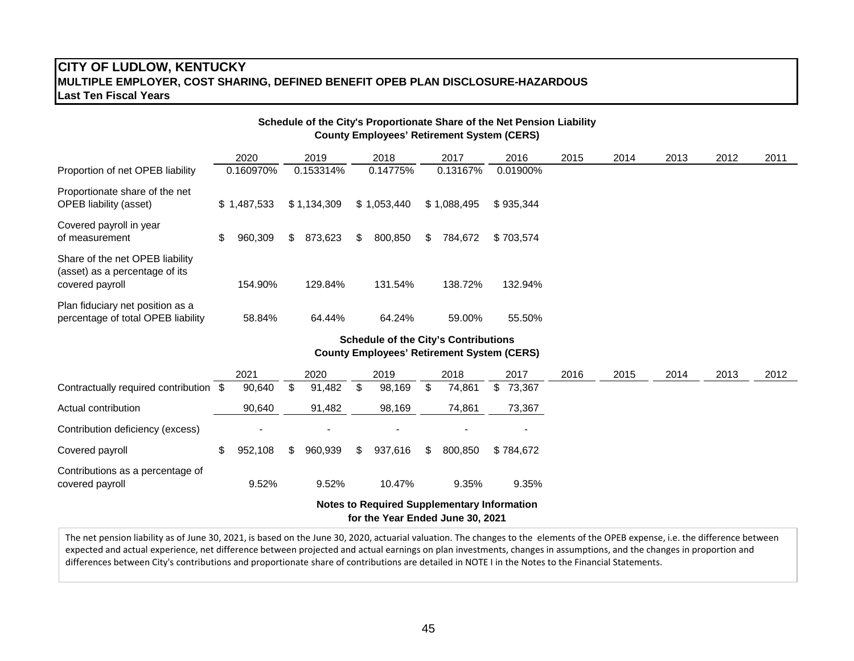## **CITY OF LUDLOW, KENTUCKY MULTIPLE EMPLOYER, COST SHARING, DEFINED BENEFIT OPEB PLAN DISCLOSURE-HAZARDOUS Last Ten Fiscal Years**

|                                                                                      |               |     |             |    |             | Schedule of the City's Proportionate Share of the Net Pension Liability<br><b>County Employees' Retirement System (CERS)</b> |           |      |      |      |      |      |
|--------------------------------------------------------------------------------------|---------------|-----|-------------|----|-------------|------------------------------------------------------------------------------------------------------------------------------|-----------|------|------|------|------|------|
|                                                                                      | 2020          |     | 2019        |    | 2018        | 2017                                                                                                                         | 2016      | 2015 | 2014 | 2013 | 2012 | 2011 |
| Proportion of net OPEB liability                                                     | 0.160970%     |     | 0.153314%   |    | 0.14775%    | 0.13167%                                                                                                                     | 0.01900%  |      |      |      |      |      |
| Proportionate share of the net<br><b>OPEB</b> liability (asset)                      | \$1,487,533   |     | \$1,134,309 |    | \$1,053,440 | \$1,088,495                                                                                                                  | \$935,344 |      |      |      |      |      |
| Covered payroll in year<br>of measurement                                            | \$<br>960,309 | \$. | 873,623     | S  | 800,850     | \$<br>784,672                                                                                                                | \$703,574 |      |      |      |      |      |
| Share of the net OPEB liability<br>(asset) as a percentage of its<br>covered payroll | 154.90%       |     | 129.84%     |    | 131.54%     | 138.72%                                                                                                                      | 132.94%   |      |      |      |      |      |
| Plan fiduciary net position as a<br>percentage of total OPEB liability               | 58.84%        |     | 64.44%      |    | 64.24%      | 59.00%                                                                                                                       | 55.50%    |      |      |      |      |      |
|                                                                                      |               |     |             |    |             | <b>Schedule of the City's Contributions</b><br><b>County Employees' Retirement System (CERS)</b>                             |           |      |      |      |      |      |
|                                                                                      | 2021          |     | 2020        |    | 2019        | 2018                                                                                                                         | 2017      | 2016 | 2015 | 2014 | 2013 | 2012 |
| Contractually required contribution \$                                               | 90,640        | \$  | 91,482      | \$ | 98,169      | \$<br>74,861                                                                                                                 | \$73,367  |      |      |      |      |      |

|                                                     |         |         |     |         | <b>Notes to Required Supplementary Information</b> |                          |
|-----------------------------------------------------|---------|---------|-----|---------|----------------------------------------------------|--------------------------|
| Contributions as a percentage of<br>covered payroll | 9.52%   | 9.52%   |     | 10.47%  | 9.35%                                              | 9.35%                    |
| Covered payroll                                     | 952.108 | 960.939 | -SS | 937.616 | 800.850                                            | \$784.672                |
| Contribution deficiency (excess)                    |         |         |     |         |                                                    | $\overline{\phantom{0}}$ |
| Actual contribution                                 | 90,640  | 91,482  |     | 98,169  | 74,861                                             | 73,367                   |
| Contractually required contribution \$              | 90,640  | 91,482  |     | 98,169  | 74.861                                             | 73,367                   |

**for the Year Ended June 30, 2021**

The net pension liability as of June 30, 2021, is based on the June 30, 2020, actuarial valuation. The changes to the elements of the OPEB expense, i.e. the difference between expected and actual experience, net difference between projected and actual earnings on plan investments, changes in assumptions, and the changes in proportion and differences between City's contributions and proportionate share of contributions are detailed in NOTE I in the Notes to the Financial Statements.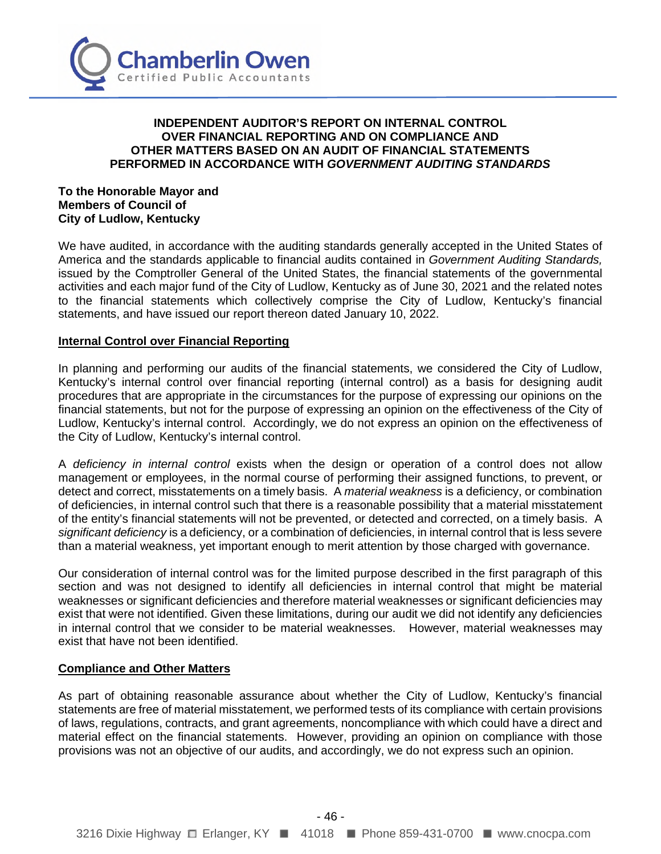

## **INDEPENDENT AUDITOR'S REPORT ON INTERNAL CONTROL OVER FINANCIAL REPORTING AND ON COMPLIANCE AND OTHER MATTERS BASED ON AN AUDIT OF FINANCIAL STATEMENTS PERFORMED IN ACCORDANCE WITH** *GOVERNMENT AUDITING STANDARDS*

#### **To the Honorable Mayor and Members of Council of City of Ludlow, Kentucky**

We have audited, in accordance with the auditing standards generally accepted in the United States of America and the standards applicable to financial audits contained in *Government Auditing Standards,* issued by the Comptroller General of the United States, the financial statements of the governmental activities and each major fund of the City of Ludlow, Kentucky as of June 30, 2021 and the related notes to the financial statements which collectively comprise the City of Ludlow, Kentucky's financial statements, and have issued our report thereon dated January 10, 2022.

### **Internal Control over Financial Reporting**

In planning and performing our audits of the financial statements, we considered the City of Ludlow, Kentucky's internal control over financial reporting (internal control) as a basis for designing audit procedures that are appropriate in the circumstances for the purpose of expressing our opinions on the financial statements, but not for the purpose of expressing an opinion on the effectiveness of the City of Ludlow, Kentucky's internal control. Accordingly, we do not express an opinion on the effectiveness of the City of Ludlow, Kentucky's internal control.

A *deficiency in internal control* exists when the design or operation of a control does not allow management or employees, in the normal course of performing their assigned functions, to prevent, or detect and correct, misstatements on a timely basis. A *material weakness* is a deficiency, or combination of deficiencies, in internal control such that there is a reasonable possibility that a material misstatement of the entity's financial statements will not be prevented, or detected and corrected, on a timely basis. A *significant deficiency* is a deficiency, or a combination of deficiencies, in internal control that is less severe than a material weakness, yet important enough to merit attention by those charged with governance.

Our consideration of internal control was for the limited purpose described in the first paragraph of this section and was not designed to identify all deficiencies in internal control that might be material weaknesses or significant deficiencies and therefore material weaknesses or significant deficiencies may exist that were not identified. Given these limitations, during our audit we did not identify any deficiencies in internal control that we consider to be material weaknesses. However, material weaknesses may exist that have not been identified.

#### **Compliance and Other Matters**

As part of obtaining reasonable assurance about whether the City of Ludlow, Kentucky's financial statements are free of material misstatement, we performed tests of its compliance with certain provisions of laws, regulations, contracts, and grant agreements, noncompliance with which could have a direct and material effect on the financial statements. However, providing an opinion on compliance with those provisions was not an objective of our audits, and accordingly, we do not express such an opinion.